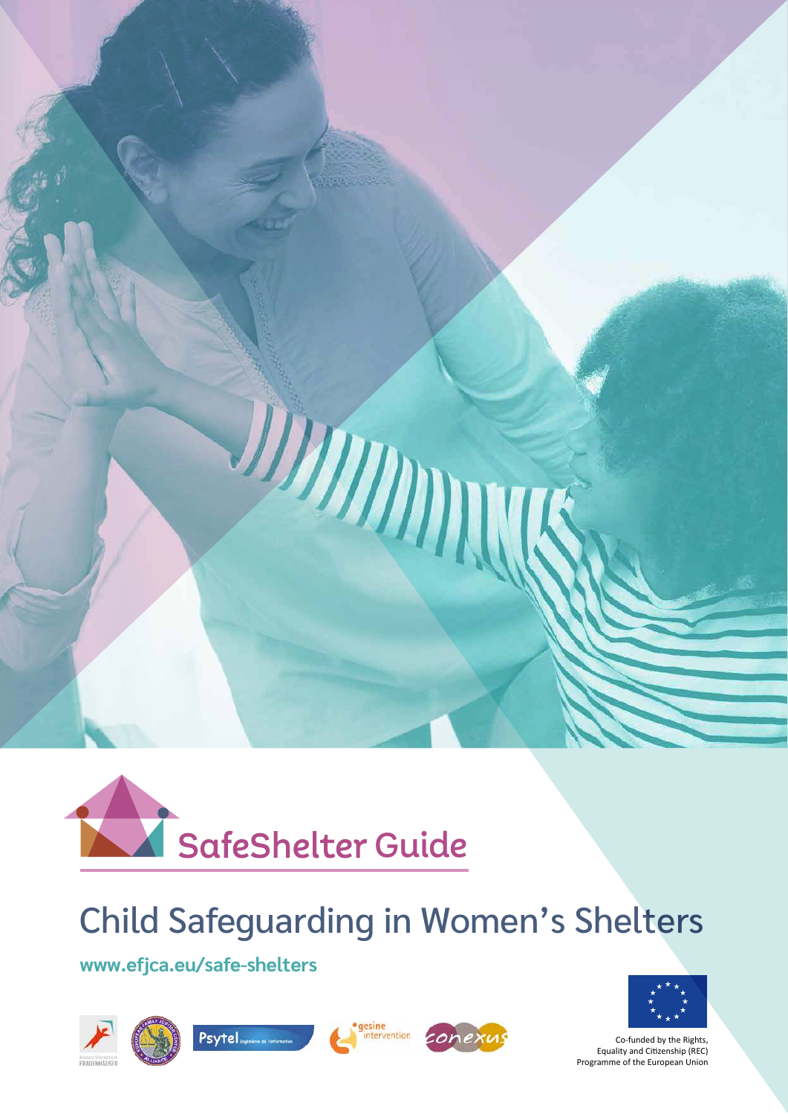



# Child Safeguarding in Women's Shelters

**[www.efjca.eu/safe-shelters](https://www.efjca.eu/safe-shelters/)**











Co-funded by the Rights, Equality and Citizenship (REC) Programme of the European Union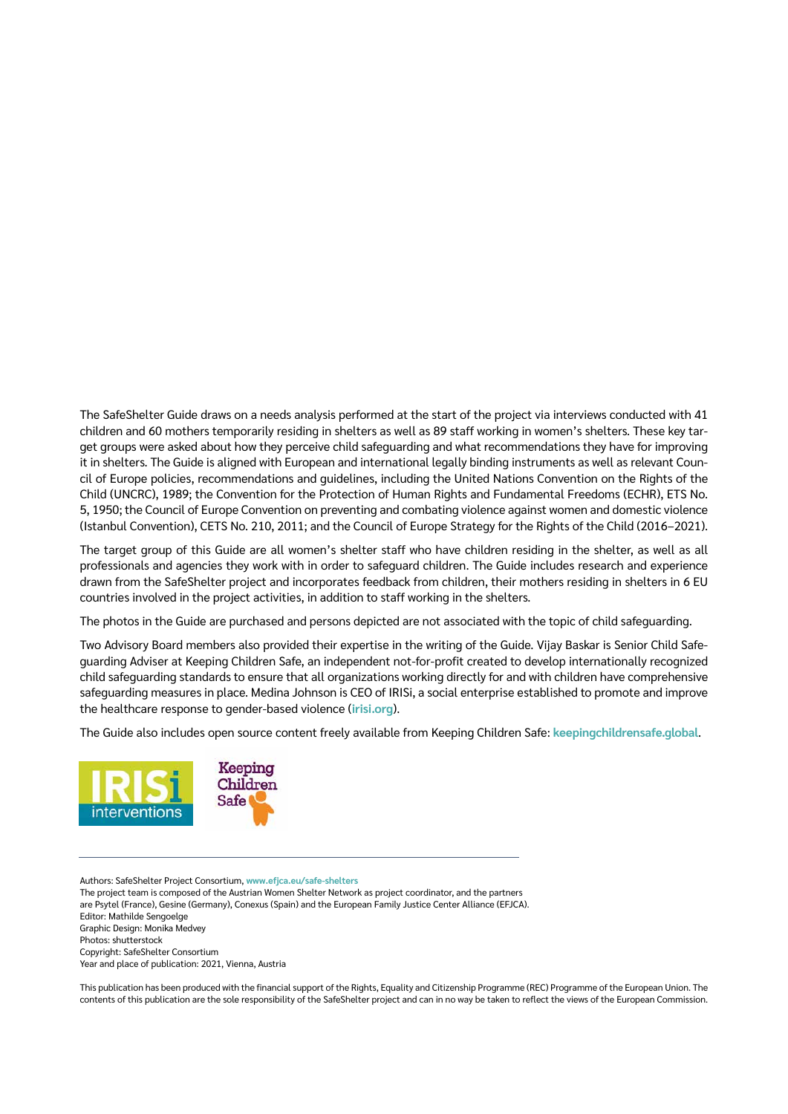The SafeShelter Guide draws on a needs analysis performed at the start of the project via interviews conducted with 41 children and 60 mothers temporarily residing in shelters as well as 89 staff working in women's shelters. These key target groups were asked about how they perceive child safeguarding and what recommendations they have for improving it in shelters. The Guide is aligned with European and international legally binding instruments as well as relevant Council of Europe policies, recommendations and guidelines, including the United Nations Convention on the Rights of the Child (UNCRC), 1989; the Convention for the Protection of Human Rights and Fundamental Freedoms (ECHR), ETS No. 5, 1950; the Council of Europe Convention on preventing and combating violence against women and domestic violence (Istanbul Convention), CETS No. 210, 2011; and the Council of Europe Strategy for the Rights of the Child (2016–2021).

The target group of this Guide are all women's shelter staff who have children residing in the shelter, as well as all professionals and agencies they work with in order to safeguard children. The Guide includes research and experience drawn from the SafeShelter project and incorporates feedback from children, their mothers residing in shelters in 6 EU countries involved in the project activities, in addition to staff working in the shelters.

The photos in the Guide are purchased and persons depicted are not associated with the topic of child safeguarding.

Two Advisory Board members also provided their expertise in the writing of the Guide. Vijay Baskar is Senior Child Safeguarding Adviser at Keeping Children Safe, an independent not-for-profit created to develop internationally recognized child safeguarding standards to ensure that all organizations working directly for and with children have comprehensive safeguarding measures in place. Medina Johnson is CEO of IRISi, a social enterprise established to promote and improve the healthcare response to gender-based violence (**[irisi.org](https://irisi.org)**).

The Guide also includes open source content freely available from Keeping Children Safe: **[keepingchildrensafe.global](https://www.keepingchildrensafe.global/)**.



Authors: SafeShelter Project Consortium, **[www.efjca.eu/safe-shelters](https://www.efjca.eu/safe-shelters)** The project team is composed of the Austrian Women Shelter Network as project coordinator, and the partners are Psytel (France), Gesine (Germany), Conexus (Spain) and the European Family Justice Center Alliance (EFJCA). Editor: Mathilde Sengoelge Graphic Design: Monika Medvey Photos: shutterstock Copyright: SafeShelter Consortium Year and place of publication: 2021, Vienna, Austria

This publication has been produced with the financial support of the Rights, Equality and Citizenship Programme (REC) Programme of the European Union. The contents of this publication are the sole responsibility of the SafeShelter project and can in no way be taken to reflect the views of the European Commission.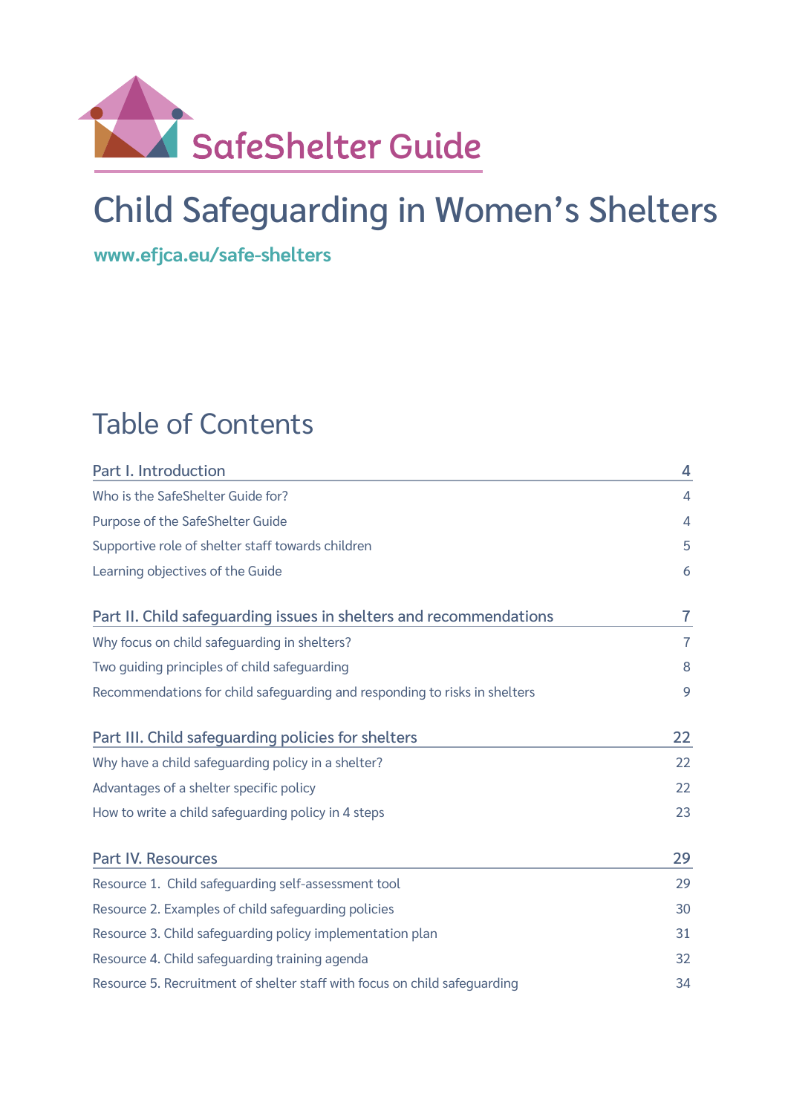

# Child Safeguarding in Women's Shelters

**[www.efjca.eu/safe-shelters](https://www.efjca.eu/safe-shelters/)**

# Table of Contents

| Part I. Introduction                                                       | 4  |  |  |
|----------------------------------------------------------------------------|----|--|--|
| Who is the SafeShelter Guide for?                                          |    |  |  |
| Purpose of the SafeShelter Guide                                           |    |  |  |
| Supportive role of shelter staff towards children                          |    |  |  |
| Learning objectives of the Guide                                           |    |  |  |
| Part II. Child safeguarding issues in shelters and recommendations         | 7  |  |  |
| Why focus on child safeguarding in shelters?                               |    |  |  |
| Two guiding principles of child safeguarding                               |    |  |  |
| Recommendations for child safequarding and responding to risks in shelters | 9  |  |  |
| Part III. Child safeguarding policies for shelters                         | 22 |  |  |
| Why have a child safeguarding policy in a shelter?                         |    |  |  |
| Advantages of a shelter specific policy                                    |    |  |  |
| How to write a child safeguarding policy in 4 steps                        |    |  |  |
| <b>Part IV. Resources</b>                                                  | 29 |  |  |
| Resource 1. Child safeguarding self-assessment tool                        | 29 |  |  |
| Resource 2. Examples of child safeguarding policies                        |    |  |  |
| Resource 3. Child safeguarding policy implementation plan                  |    |  |  |
| Resource 4. Child safeguarding training agenda                             |    |  |  |
| Resource 5. Recruitment of shelter staff with focus on child safeguarding  |    |  |  |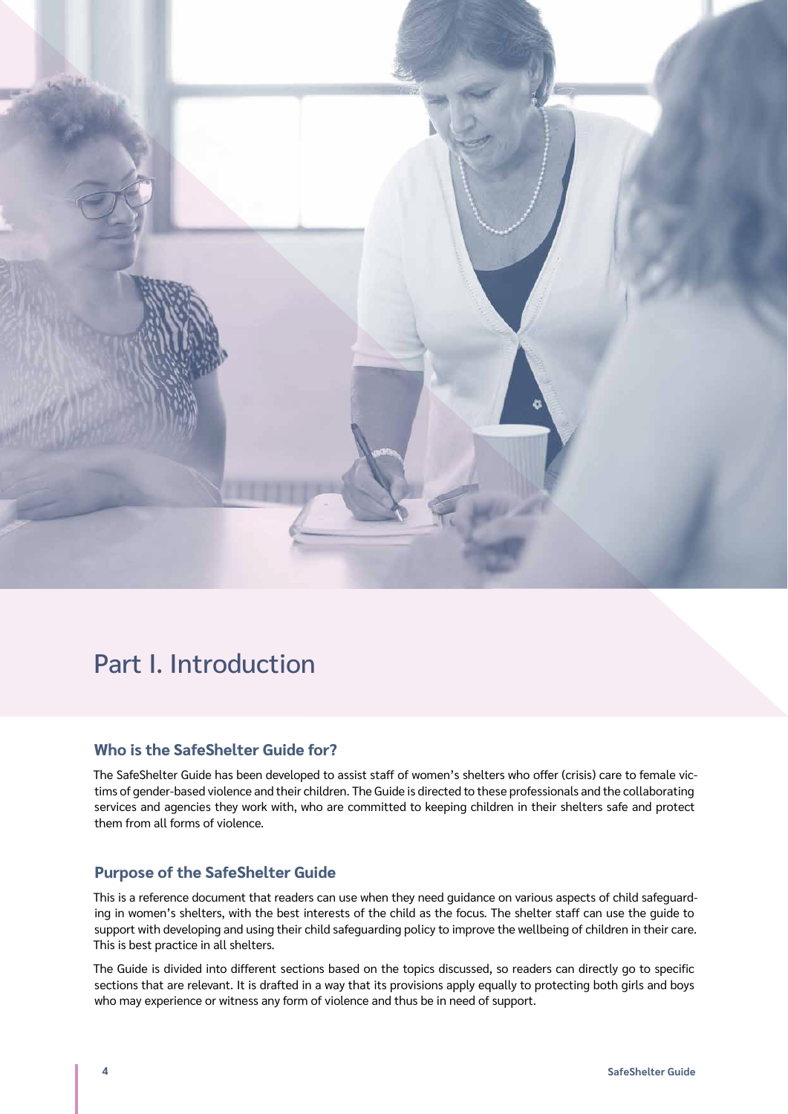<span id="page-3-0"></span>

# Part I. Introduction

# **Who is the SafeShelter Guide for?**

The SafeShelter Guide has been developed to assist staff of women's shelters who offer (crisis) care to female victims of gender-based violence and their children. The Guide is directed to these professionals and the collaborating services and agencies they work with, who are committed to keeping children in their shelters safe and protect them from all forms of violence.

# **Purpose of the SafeShelter Guide**

This is a reference document that readers can use when they need guidance on various aspects of child safeguarding in women's shelters, with the best interests of the child as the focus. The shelter staff can use the guide to support with developing and using their child safeguarding policy to improve the wellbeing of children in their care. This is best practice in all shelters.

The Guide is divided into different sections based on the topics discussed, so readers can directly go to specific sections that are relevant. It is drafted in a way that its provisions apply equally to protecting both girls and boys who may experience or witness any form of violence and thus be in need of support.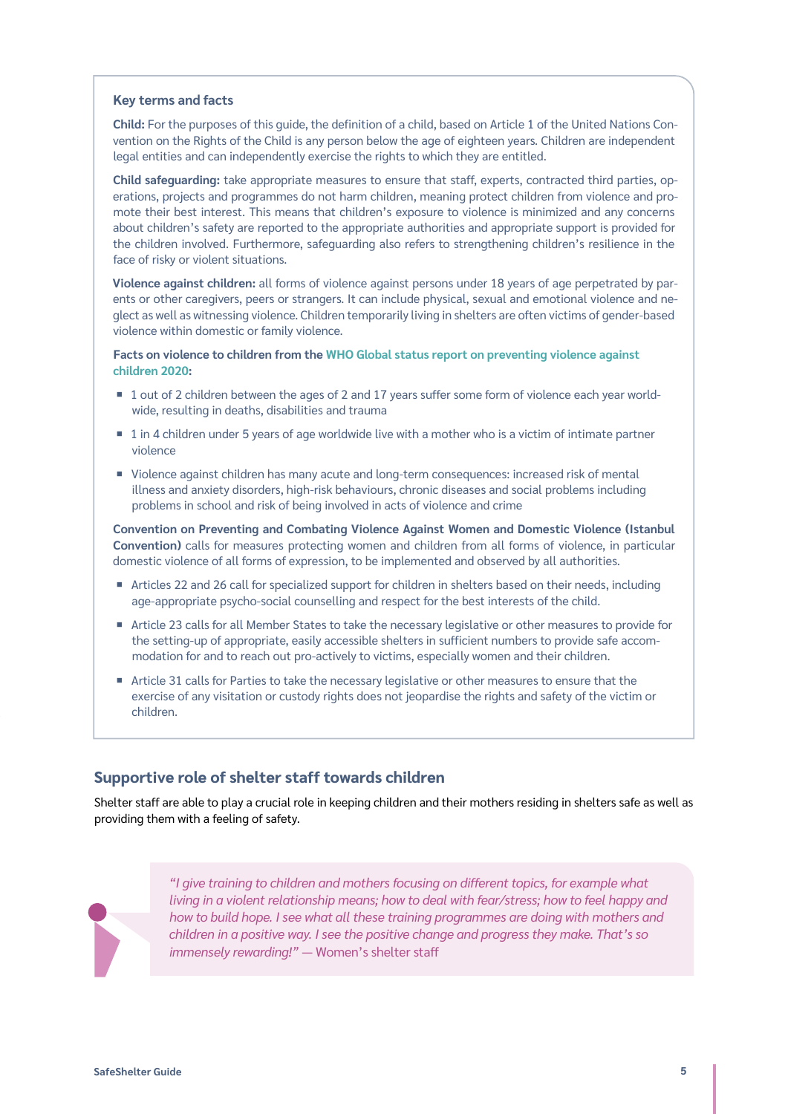#### <span id="page-4-0"></span>**Key terms and facts**

**Child:** For the purposes of this guide, the definition of a child, based on Article 1 of the United Nations Convention on the Rights of the Child is any person below the age of eighteen years. Children are independent legal entities and can independently exercise the rights to which they are entitled.

**Child safeguarding:** take appropriate measures to ensure that staff, experts, contracted third parties, operations, projects and programmes do not harm children, meaning protect children from violence and promote their best interest. This means that children's exposure to violence is minimized and any concerns about children's safety are reported to the appropriate authorities and appropriate support is provided for the children involved. Furthermore, safeguarding also refers to strengthening children's resilience in the face of risky or violent situations.

**Violence against children:** all forms of violence against persons under 18 years of age perpetrated by parents or other caregivers, peers or strangers. It can include physical, sexual and emotional violence and neglect as well as witnessing violence. Children temporarily living in shelters are often victims of gender-based violence within domestic or family violence.

**Facts on violence to children from the [WHO Global status report on preventing violence against](https://www.who.int/teams/social-determinants-of-health/violence-prevention/global-status-report-on-violence-against-children-2020)  [children 2020](https://www.who.int/teams/social-determinants-of-health/violence-prevention/global-status-report-on-violence-against-children-2020):**

- 1 out of 2 children between the ages of 2 and 17 years suffer some form of violence each year worldwide, resulting in deaths, disabilities and trauma
- 1 in 4 children under 5 years of age worldwide live with a mother who is a victim of intimate partner violence
- ¡ Violence against children has many acute and long-term consequences: increased risk of mental illness and anxiety disorders, high-risk behaviours, chronic diseases and social problems including problems in school and risk of being involved in acts of violence and crime

**Convention on Preventing and Combating Violence Against Women and Domestic Violence (Istanbul Convention)** calls for measures protecting women and children from all forms of violence, in particular domestic violence of all forms of expression, to be implemented and observed by all authorities.

- Articles 22 and 26 call for specialized support for children in shelters based on their needs, including age-appropriate psycho-social counselling and respect for the best interests of the child.
- ¡ Article 23 calls for all Member States to take the necessary legislative or other measures to provide for the setting‐up of appropriate, easily accessible shelters in sufficient numbers to provide safe accommodation for and to reach out pro-actively to victims, especially women and their children.
- Article 31 calls for Parties to take the necessary legislative or other measures to ensure that the exercise of any visitation or custody rights does not jeopardise the rights and safety of the victim or children.

# **Supportive role of shelter staff towards children**

Shelter staff are able to play a crucial role in keeping children and their mothers residing in shelters safe as well as providing them with a feeling of safety.



*"I give training to children and mothers focusing on different topics, for example what living in a violent relationship means; how to deal with fear/stress; how to feel happy and how to build hope. I see what all these training programmes are doing with mothers and children in a positive way. I see the positive change and progress they make. That's so immensely rewarding!"* ― Women's shelter staff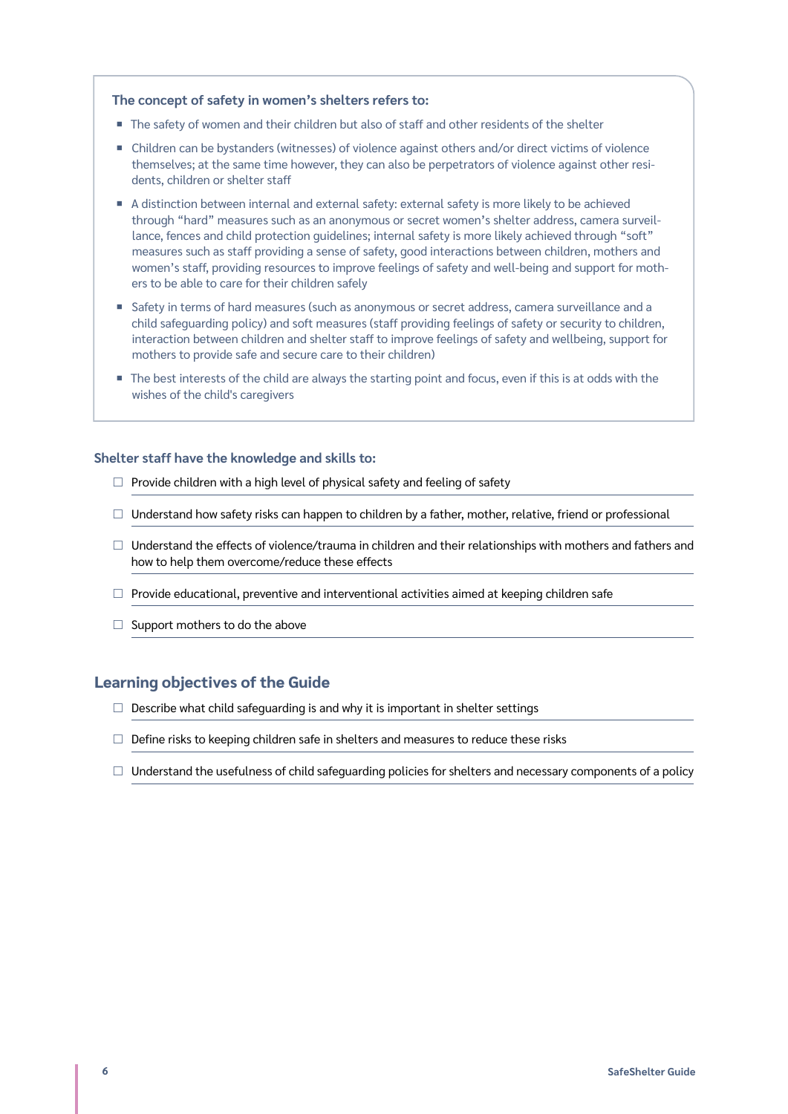#### <span id="page-5-0"></span>**The concept of safety in women's shelters refers to:**

- The safety of women and their children but also of staff and other residents of the shelter
- Children can be bystanders (witnesses) of violence against others and/or direct victims of violence themselves; at the same time however, they can also be perpetrators of violence against other residents, children or shelter staff
- A distinction between internal and external safety: external safety is more likely to be achieved through "hard" measures such as an anonymous or secret women's shelter address, camera surveillance, fences and child protection guidelines; internal safety is more likely achieved through "soft" measures such as staff providing a sense of safety, good interactions between children, mothers and women's staff, providing resources to improve feelings of safety and well-being and support for mothers to be able to care for their children safely
- Safety in terms of hard measures (such as anonymous or secret address, camera surveillance and a child safeguarding policy) and soft measures (staff providing feelings of safety or security to children, interaction between children and shelter staff to improve feelings of safety and wellbeing, support for mothers to provide safe and secure care to their children)
- The best interests of the child are always the starting point and focus, even if this is at odds with the wishes of the child's caregivers

#### **Shelter staff have the knowledge and skills to:**

- $\Box$  Provide children with a high level of physical safety and feeling of safety
- $\Box$  Understand how safety risks can happen to children by a father, mother, relative, friend or professional
- $\Box$  Understand the effects of violence/trauma in children and their relationships with mothers and fathers and how to help them overcome/reduce these effects
- $\Box$  Provide educational, preventive and interventional activities aimed at keeping children safe
- $\Box$  Support mothers to do the above

#### **Learning objectives of the Guide**

- $\Box$  Describe what child safeguarding is and why it is important in shelter settings
- $\Box$  Define risks to keeping children safe in shelters and measures to reduce these risks
- $\Box$  Understand the usefulness of child safeguarding policies for shelters and necessary components of a policy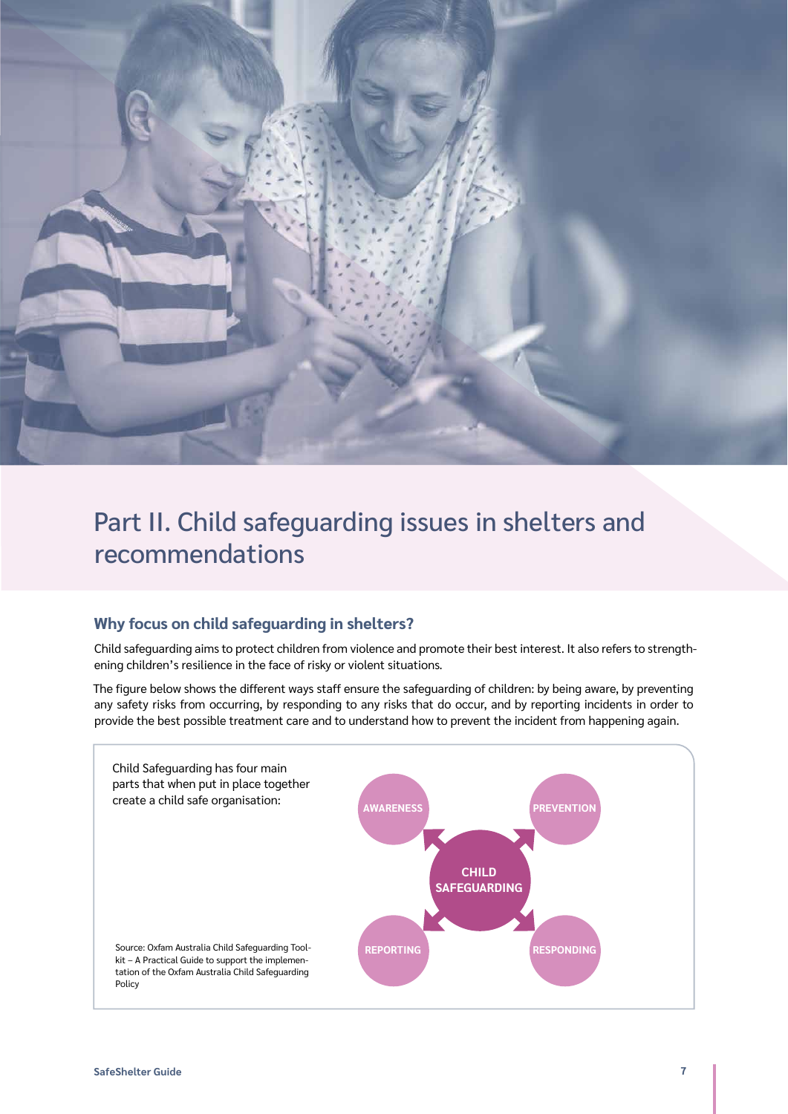<span id="page-6-0"></span>

# Part II. Child safeguarding issues in shelters and recommendations

# **Why focus on child safeguarding in shelters?**

Child safeguarding aims to protect children from violence and promote their best interest. It also refers to strengthening children's resilience in the face of risky or violent situations.

The figure below shows the different ways staff ensure the safeguarding of children: by being aware, by preventing any safety risks from occurring, by responding to any risks that do occur, and by reporting incidents in order to provide the best possible treatment care and to understand how to prevent the incident from happening again.

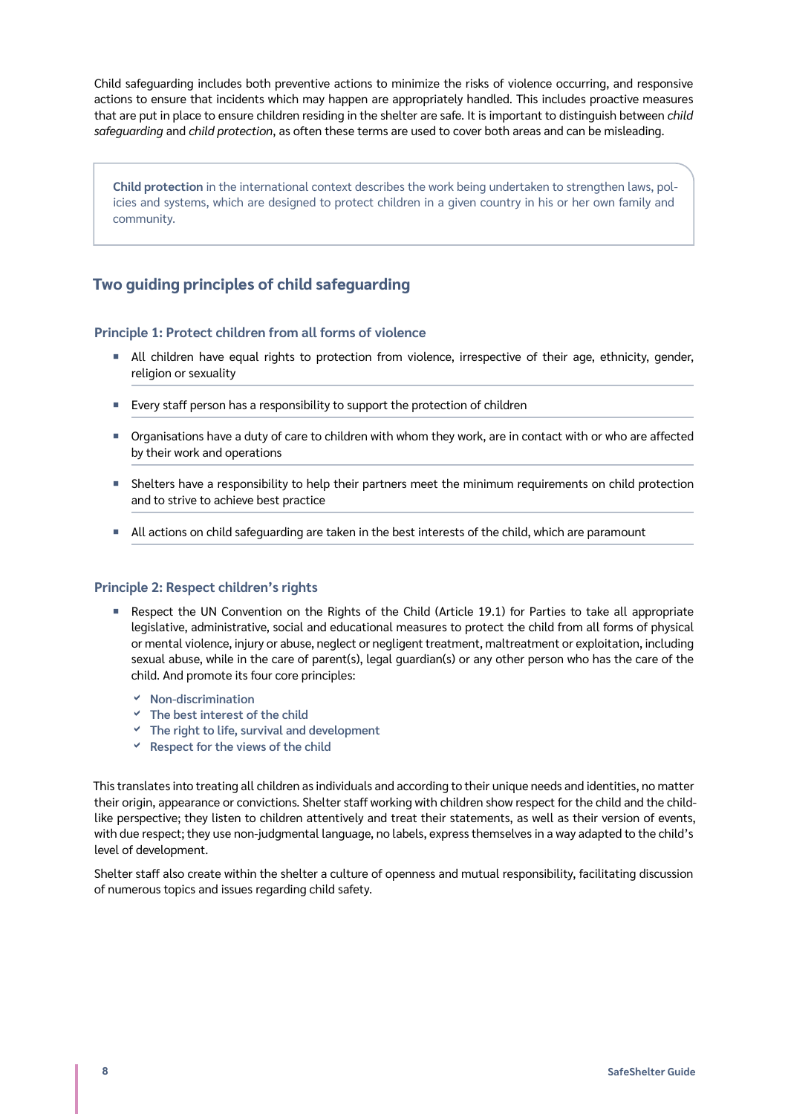<span id="page-7-0"></span>Child safeguarding includes both preventive actions to minimize the risks of violence occurring, and responsive actions to ensure that incidents which may happen are appropriately handled. This includes proactive measures that are put in place to ensure children residing in the shelter are safe. It is important to distinguish between *child safeguarding* and *child protection*, as often these terms are used to cover both areas and can be misleading.

**Child protection** in the international context describes the work being undertaken to strengthen laws, policies and systems, which are designed to protect children in a given country in his or her own family and community.

# **Two guiding principles of child safeguarding**

### **Principle 1: Protect children from all forms of violence**

- ¡ All children have equal rights to protection from violence, irrespective of their age, ethnicity, gender, religion or sexuality
- **Exery staff person has a responsibility to support the protection of children**
- ¡ Organisations have a duty of care to children with whom they work, are in contact with or who are affected by their work and operations
- ¡ Shelters have a responsibility to help their partners meet the minimum requirements on child protection and to strive to achieve best practice
- **INCT All actions on child safeguarding are taken in the best interests of the child, which are paramount**

#### **Principle 2: Respect children's rights**

- Respect the UN Convention on the Rights of the Child (Article 19.1) for Parties to take all appropriate legislative, administrative, social and educational measures to protect the child from all forms of physical or mental violence, injury or abuse, neglect or negligent treatment, maltreatment or exploitation, including sexual abuse, while in the care of parent(s), legal guardian(s) or any other person who has the care of the child. And promote its four core principles:
	- **Non-discrimination**
	- **The best interest of the child**
	- **The right to life, survival and development**
	- **Respect for the views of the child**

This translates into treating all children as individuals and according to their unique needs and identities, no matter their origin, appearance or convictions. Shelter staff working with children show respect for the child and the childlike perspective; they listen to children attentively and treat their statements, as well as their version of events, with due respect; they use non-judgmental language, no labels, express themselves in a way adapted to the child's level of development.

Shelter staff also create within the shelter a culture of openness and mutual responsibility, facilitating discussion of numerous topics and issues regarding child safety.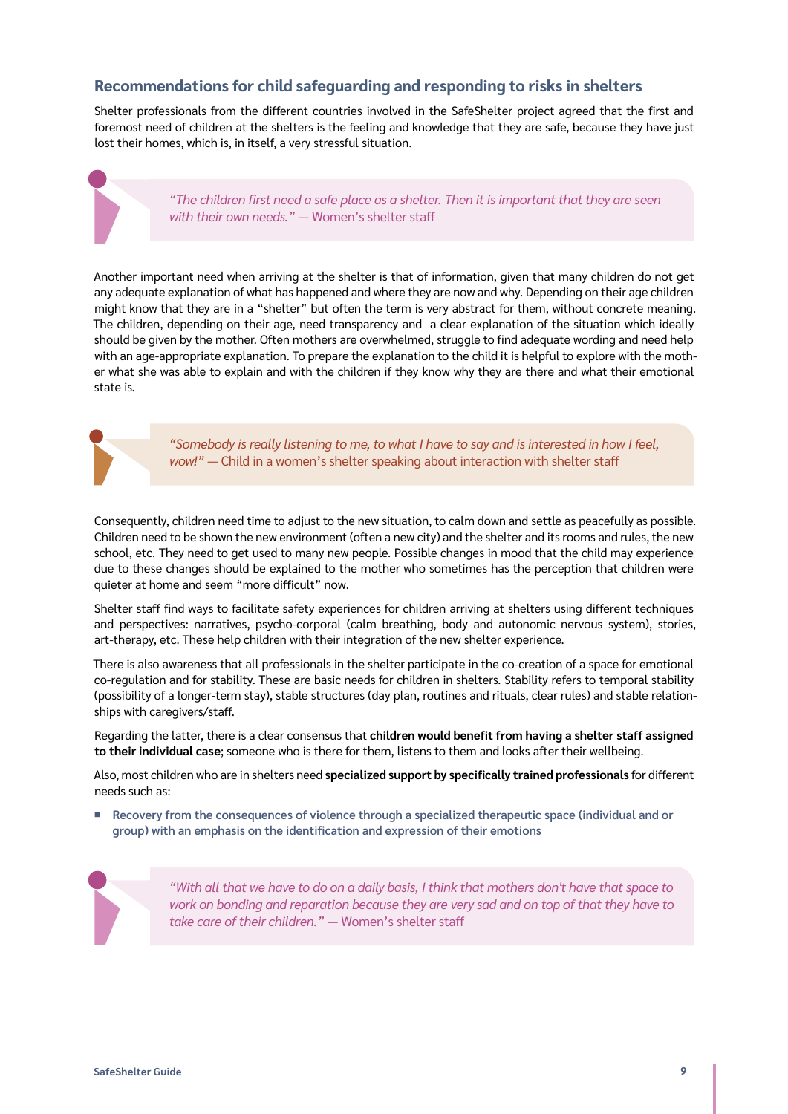# <span id="page-8-0"></span>**Recommendations for child safeguarding and responding to risks in shelters**

Shelter professionals from the different countries involved in the SafeShelter project agreed that the first and foremost need of children at the shelters is the feeling and knowledge that they are safe, because they have just lost their homes, which is, in itself, a very stressful situation.

> *"The children first need a safe place as a shelter. Then it is important that they are seen* with their own needs." — Women's shelter staff

Another important need when arriving at the shelter is that of information, given that many children do not get any adequate explanation of what has happened and where they are now and why. Depending on their age children might know that they are in a "shelter" but often the term is very abstract for them, without concrete meaning. The children, depending on their age, need transparency and a clear explanation of the situation which ideally should be given by the mother. Often mothers are overwhelmed, struggle to find adequate wording and need help with an age-appropriate explanation. To prepare the explanation to the child it is helpful to explore with the mother what she was able to explain and with the children if they know why they are there and what their emotional state is.



*"Somebody is really listening to me, to what I have to say and is interested in how I feel, wow!"* ― Child in a women's shelter speaking about interaction with shelter staff

Consequently, children need time to adjust to the new situation, to calm down and settle as peacefully as possible. Children need to be shown the new environment (often a new city) and the shelter and its rooms and rules, the new school, etc. They need to get used to many new people. Possible changes in mood that the child may experience due to these changes should be explained to the mother who sometimes has the perception that children were quieter at home and seem "more difficult" now.

Shelter staff find ways to facilitate safety experiences for children arriving at shelters using different techniques and perspectives: narratives, psycho-corporal (calm breathing, body and autonomic nervous system), stories, art-therapy, etc. These help children with their integration of the new shelter experience.

There is also awareness that all professionals in the shelter participate in the co-creation of a space for emotional co-regulation and for stability. These are basic needs for children in shelters. Stability refers to temporal stability (possibility of a longer-term stay), stable structures (day plan, routines and rituals, clear rules) and stable relationships with caregivers/staff.

Regarding the latter, there is a clear consensus that **children would benefit from having a shelter staff assigned to their individual case**; someone who is there for them, listens to them and looks after their wellbeing.

Also, most children who are in shelters need **specialized support by specifically trained professionals** for different needs such as:

¡ **Recovery from the consequences of violence through a specialized therapeutic space (individual and or group) with an emphasis on the identification and expression of their emotions** 

> *"With all that we have to do on a daily basis, I think that mothers don't have that space to work on bonding and reparation because they are very sad and on top of that they have to take care of their children." ―* Women's shelter staff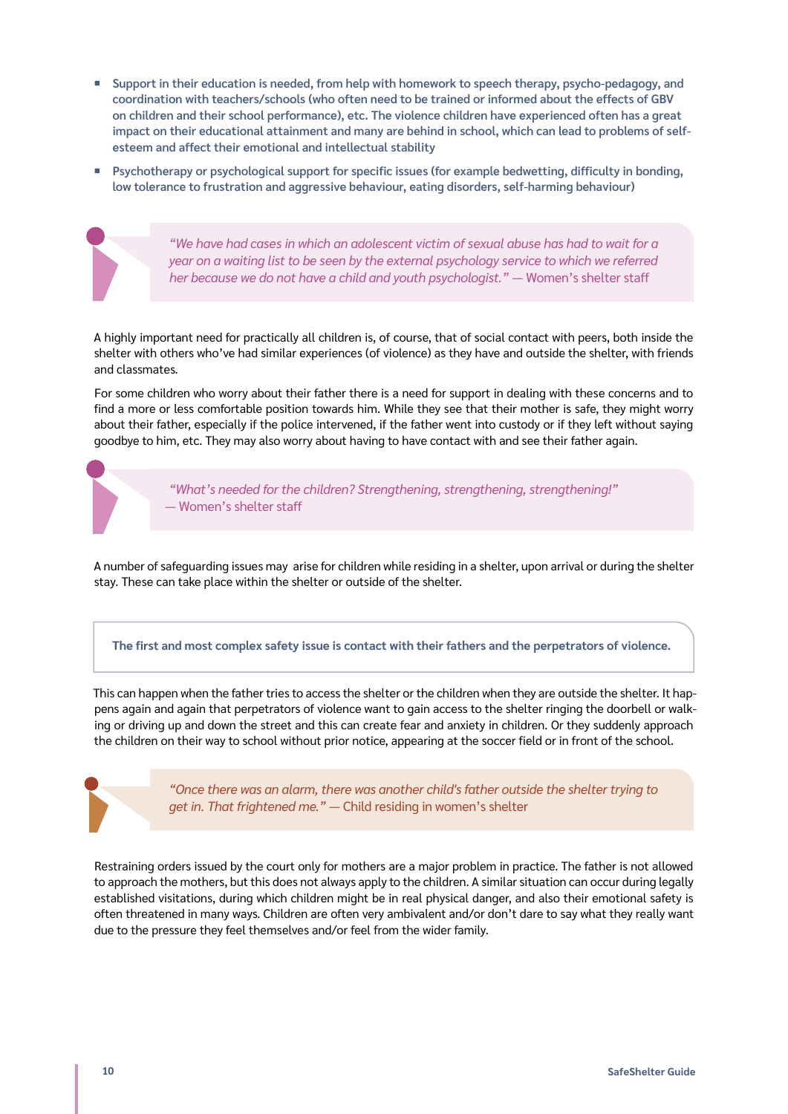- ¡ **Support in their education is needed, from help with homework to speech therapy, psycho-pedagogy, and coordination with teachers/schools (who often need to be trained or informed about the effects of GBV on children and their school performance), etc. The violence children have experienced often has a great impact on their educational attainment and many are behind in school, which can lead to problems of selfesteem and affect their emotional and intellectual stability**
- Psychotherapy or psychological support for specific issues (for example bedwetting, difficulty in bonding, **low tolerance to frustration and aggressive behaviour, eating disorders, self-harming behaviour)**

*"We have had cases in which an adolescent victim of sexual abuse has had to wait for a year on a waiting list to be seen by the external psychology service to which we referred her because we do not have a child and youth psychologist." ―* Women's shelter staff

A highly important need for practically all children is, of course, that of social contact with peers, both inside the shelter with others who've had similar experiences (of violence) as they have and outside the shelter, with friends and classmates.

For some children who worry about their father there is a need for support in dealing with these concerns and to find a more or less comfortable position towards him. While they see that their mother is safe, they might worry about their father, especially if the police intervened, if the father went into custody or if they left without saying goodbye to him, etc. They may also worry about having to have contact with and see their father again.

> *"What's needed for the children? Strengthening, strengthening, strengthening!" ―* Women's shelter staff

A number of safeguarding issues may arise for children while residing in a shelter, upon arrival or during the shelter stay. These can take place within the shelter or outside of the shelter.

**The first and most complex safety issue is contact with their fathers and the perpetrators of violence.**

This can happen when the father tries to access the shelter or the children when they are outside the shelter. It happens again and again that perpetrators of violence want to gain access to the shelter ringing the doorbell or walking or driving up and down the street and this can create fear and anxiety in children. Or they suddenly approach the children on their way to school without prior notice, appearing at the soccer field or in front of the school.



*"Once there was an alarm, there was another child's father outside the shelter trying to get in. That frightened me." ―* Child residing in women's shelter

Restraining orders issued by the court only for mothers are a major problem in practice. The father is not allowed to approach the mothers, but this does not always apply to the children. A similar situation can occur during legally established visitations, during which children might be in real physical danger, and also their emotional safety is often threatened in many ways. Children are often very ambivalent and/or don't dare to say what they really want due to the pressure they feel themselves and/or feel from the wider family.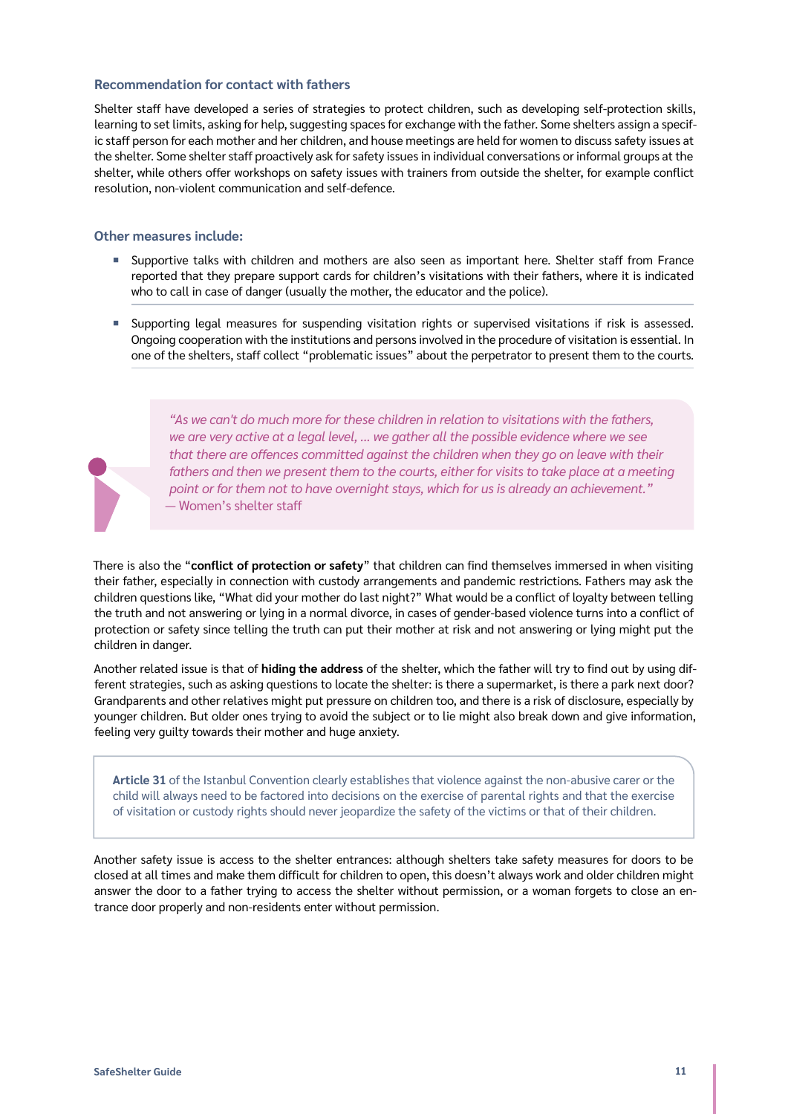#### **Recommendation for contact with fathers**

Shelter staff have developed a series of strategies to protect children, such as developing self-protection skills, learning to set limits, asking for help, suggesting spaces for exchange with the father. Some shelters assign a specific staff person for each mother and her children, and house meetings are held for women to discuss safety issues at the shelter. Some shelter staff proactively ask for safety issues in individual conversations or informal groups at the shelter, while others offer workshops on safety issues with trainers from outside the shelter, for example conflict resolution, non-violent communication and self-defence.

#### **Other measures include:**

- ¡ Supportive talks with children and mothers are also seen as important here. Shelter staff from France reported that they prepare support cards for children's visitations with their fathers, where it is indicated who to call in case of danger (usually the mother, the educator and the police).
- ¡ Supporting legal measures for suspending visitation rights or supervised visitations if risk is assessed. Ongoing cooperation with the institutions and persons involved in the procedure of visitation is essential. In one of the shelters, staff collect "problematic issues" about the perpetrator to present them to the courts.



*"As we can't do much more for these children in relation to visitations with the fathers, we are very active at a legal level, ... we gather all the possible evidence where we see that there are offences committed against the children when they go on leave with their*  fathers and then we present them to the courts, either for visits to take place at a meeting *point or for them not to have overnight stays, which for us is already an achievement." ―* Women's shelter staff

There is also the "**conflict of protection or safety**" that children can find themselves immersed in when visiting their father, especially in connection with custody arrangements and pandemic restrictions. Fathers may ask the children questions like, "What did your mother do last night?" What would be a conflict of loyalty between telling the truth and not answering or lying in a normal divorce, in cases of gender-based violence turns into a conflict of protection or safety since telling the truth can put their mother at risk and not answering or lying might put the children in danger.

Another related issue is that of **hiding the address** of the shelter, which the father will try to find out by using different strategies, such as asking questions to locate the shelter: is there a supermarket, is there a park next door? Grandparents and other relatives might put pressure on children too, and there is a risk of disclosure, especially by younger children. But older ones trying to avoid the subject or to lie might also break down and give information, feeling very guilty towards their mother and huge anxiety.

**Article 31** of the Istanbul Convention clearly establishes that violence against the non-abusive carer or the child will always need to be factored into decisions on the exercise of parental rights and that the exercise of visitation or custody rights should never jeopardize the safety of the victims or that of their children.

Another safety issue is access to the shelter entrances: although shelters take safety measures for doors to be closed at all times and make them difficult for children to open, this doesn't always work and older children might answer the door to a father trying to access the shelter without permission, or a woman forgets to close an entrance door properly and non-residents enter without permission.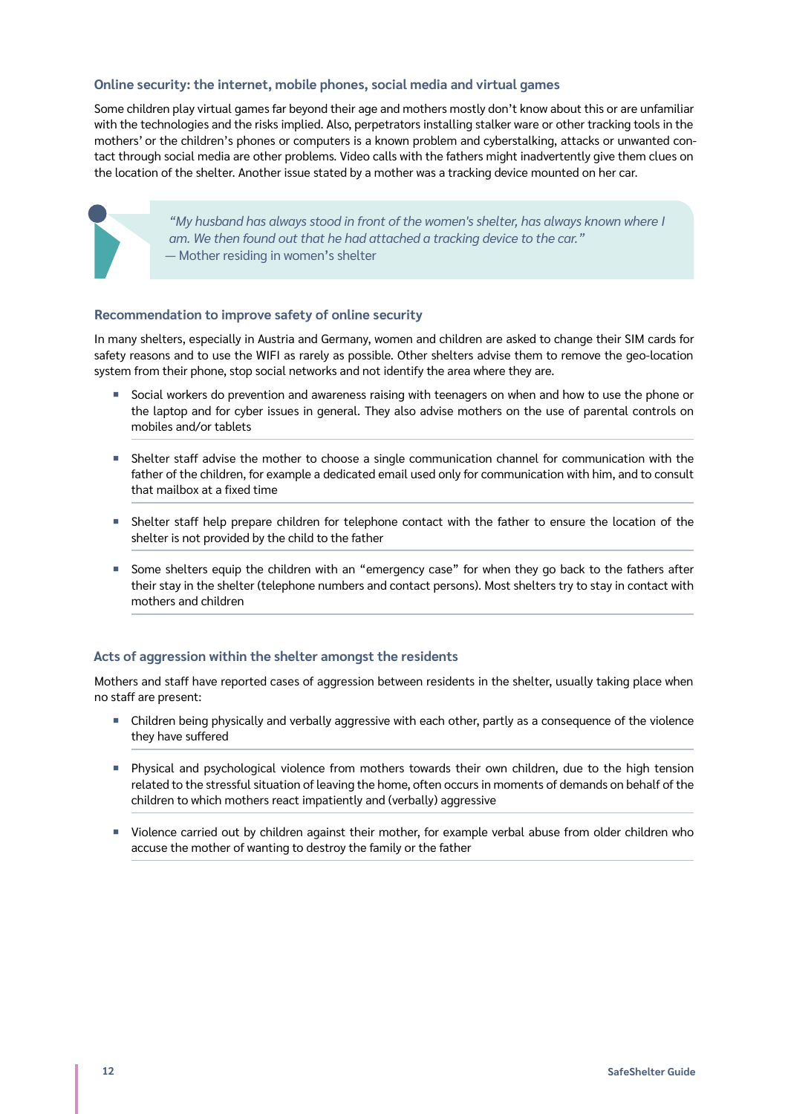#### **Online security: the internet, mobile phones, social media and virtual games**

Some children play virtual games far beyond their age and mothers mostly don't know about this or are unfamiliar with the technologies and the risks implied. Also, perpetrators installing stalker ware or other tracking tools in the mothers' or the children's phones or computers is a known problem and cyberstalking, attacks or unwanted contact through social media are other problems. Video calls with the fathers might inadvertently give them clues on the location of the shelter. Another issue stated by a mother was a tracking device mounted on her car.

> *"My husband has always stood in front of the women's shelter, has always known where I am. We then found out that he had attached a tracking device to the car." ―* Mother residing in women's shelter

#### **Recommendation to improve safety of online security**

In many shelters, especially in Austria and Germany, women and children are asked to change their SIM cards for safety reasons and to use the WIFI as rarely as possible. Other shelters advise them to remove the geo-location system from their phone, stop social networks and not identify the area where they are.

- Social workers do prevention and awareness raising with teenagers on when and how to use the phone or the laptop and for cyber issues in general. They also advise mothers on the use of parental controls on mobiles and/or tablets
- **•** Shelter staff advise the mother to choose a single communication channel for communication with the father of the children, for example a dedicated email used only for communication with him, and to consult that mailbox at a fixed time
- ¡ Shelter staff help prepare children for telephone contact with the father to ensure the location of the shelter is not provided by the child to the father
- ¡ Some shelters equip the children with an "emergency case" for when they go back to the fathers after their stay in the shelter (telephone numbers and contact persons). Most shelters try to stay in contact with mothers and children

### **Acts of aggression within the shelter amongst the residents**

Mothers and staff have reported cases of aggression between residents in the shelter, usually taking place when no staff are present:

- ¡ Children being physically and verbally aggressive with each other, partly as a consequence of the violence they have suffered
- ¡ Physical and psychological violence from mothers towards their own children, due to the high tension related to the stressful situation of leaving the home, often occurs in moments of demands on behalf of the children to which mothers react impatiently and (verbally) aggressive
- Violence carried out by children against their mother, for example verbal abuse from older children who accuse the mother of wanting to destroy the family or the father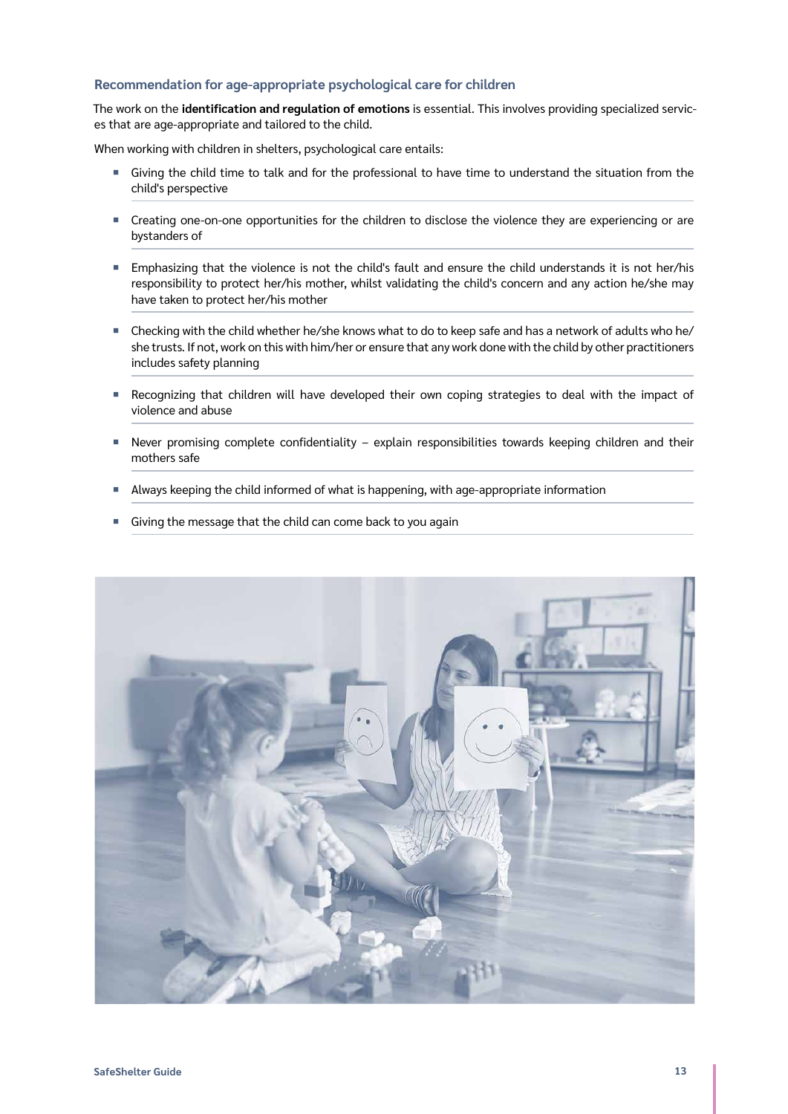#### **Recommendation for age-appropriate psychological care for children**

The work on the **identification and regulation of emotions** is essential. This involves providing specialized services that are age-appropriate and tailored to the child.

When working with children in shelters, psychological care entails:

- ¡ Giving the child time to talk and for the professional to have time to understand the situation from the child's perspective
- ¡ Creating one-on-one opportunities for the children to disclose the violence they are experiencing or are bystanders of
- ¡ Emphasizing that the violence is not the child's fault and ensure the child understands it is not her/his responsibility to protect her/his mother, whilst validating the child's concern and any action he/she may have taken to protect her/his mother
- Checking with the child whether he/she knows what to do to keep safe and has a network of adults who he/ she trusts. If not, work on this with him/her or ensure that any work done with the child by other practitioners includes safety planning
- Recognizing that children will have developed their own coping strategies to deal with the impact of violence and abuse
- ¡ Never promising complete confidentiality explain responsibilities towards keeping children and their mothers safe
- **Always keeping the child informed of what is happening, with age-appropriate information**
- **Giving the message that the child can come back to you again**

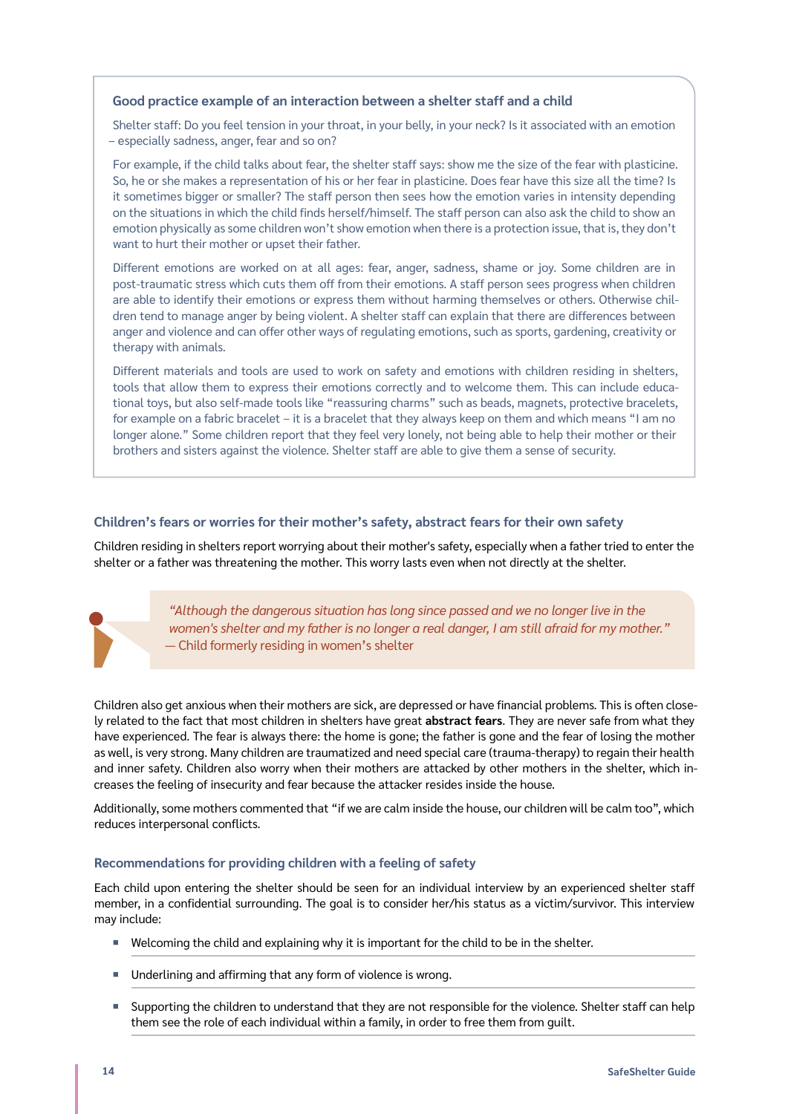#### **Good practice example of an interaction between a shelter staff and a child**

Shelter staff: Do you feel tension in your throat, in your belly, in your neck? Is it associated with an emotion – especially sadness, anger, fear and so on?

For example, if the child talks about fear, the shelter staff says: show me the size of the fear with plasticine. So, he or she makes a representation of his or her fear in plasticine. Does fear have this size all the time? Is it sometimes bigger or smaller? The staff person then sees how the emotion varies in intensity depending on the situations in which the child finds herself/himself. The staff person can also ask the child to show an emotion physically as some children won't show emotion when there is a protection issue, that is, they don't want to hurt their mother or upset their father.

Different emotions are worked on at all ages: fear, anger, sadness, shame or joy. Some children are in post-traumatic stress which cuts them off from their emotions. A staff person sees progress when children are able to identify their emotions or express them without harming themselves or others. Otherwise children tend to manage anger by being violent. A shelter staff can explain that there are differences between anger and violence and can offer other ways of regulating emotions, such as sports, gardening, creativity or therapy with animals.

Different materials and tools are used to work on safety and emotions with children residing in shelters, tools that allow them to express their emotions correctly and to welcome them. This can include educational toys, but also self-made tools like "reassuring charms" such as beads, magnets, protective bracelets, for example on a fabric bracelet – it is a bracelet that they always keep on them and which means "I am no longer alone." Some children report that they feel very lonely, not being able to help their mother or their brothers and sisters against the violence. Shelter staff are able to give them a sense of security.

### **Children's fears or worries for their mother's safety, abstract fears for their own safety**

Children residing in shelters report worrying about their mother's safety, especially when a father tried to enter the shelter or a father was threatening the mother. This worry lasts even when not directly at the shelter.



*"Although the dangerous situation has long since passed and we no longer live in the women's shelter and my father is no longer a real danger, I am still afraid for my mother."*  — Child formerly residing in women's shelter

Children also get anxious when their mothers are sick, are depressed or have financial problems. This is often closely related to the fact that most children in shelters have great **abstract fears**. They are never safe from what they have experienced. The fear is always there: the home is gone; the father is gone and the fear of losing the mother as well, is very strong. Many children are traumatized and need special care (trauma-therapy) to regain their health and inner safety. Children also worry when their mothers are attacked by other mothers in the shelter, which increases the feeling of insecurity and fear because the attacker resides inside the house.

Additionally, some mothers commented that "if we are calm inside the house, our children will be calm too", which reduces interpersonal conflicts.

### **Recommendations for providing children with a feeling of safety**

Each child upon entering the shelter should be seen for an individual interview by an experienced shelter staff member, in a confidential surrounding. The goal is to consider her/his status as a victim/survivor. This interview may include:

- Welcoming the child and explaining why it is important for the child to be in the shelter.
- Underlining and affirming that any form of violence is wrong.
- Supporting the children to understand that they are not responsible for the violence. Shelter staff can help them see the role of each individual within a family, in order to free them from guilt.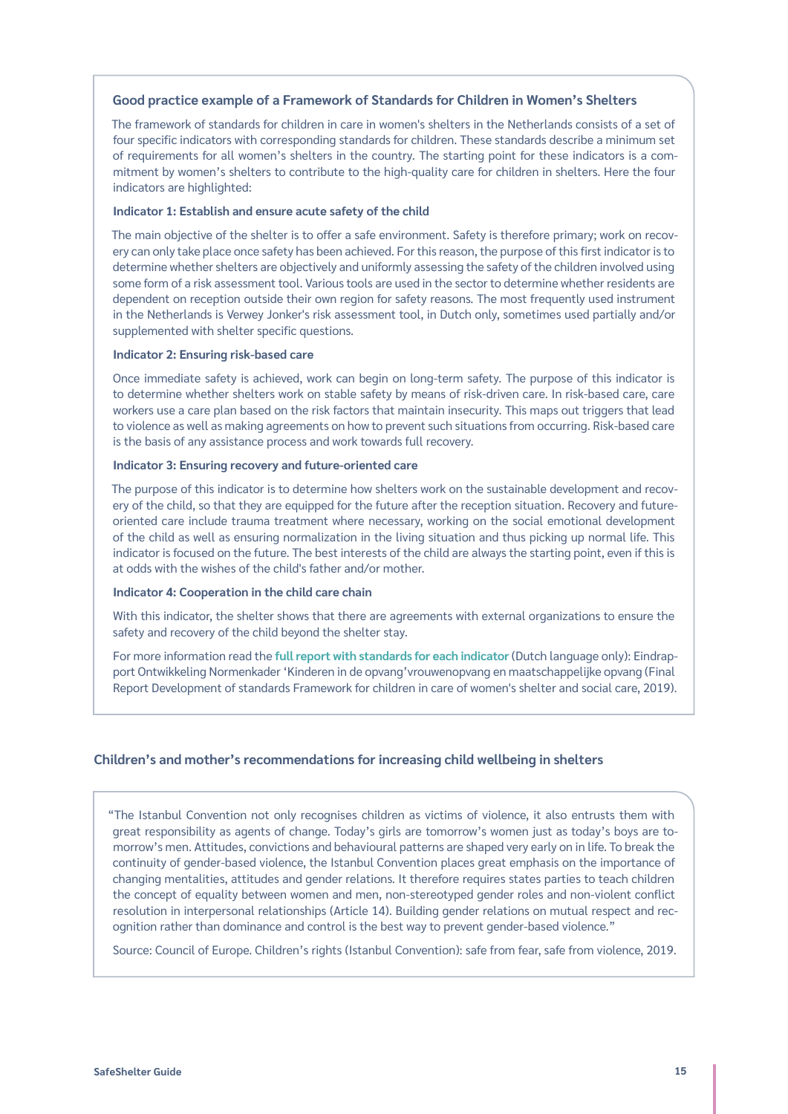#### **Good practice example of a Framework of Standards for Children in Women's Shelters**

The framework of standards for children in care in women's shelters in the Netherlands consists of a set of four specific indicators with corresponding standards for children. These standards describe a minimum set of requirements for all women's shelters in the country. The starting point for these indicators is a commitment by women's shelters to contribute to the high-quality care for children in shelters. Here the four indicators are highlighted:

#### **Indicator 1: Establish and ensure acute safety of the child**

The main objective of the shelter is to offer a safe environment. Safety is therefore primary; work on recovery can only take place once safety has been achieved. For this reason, the purpose of this first indicator is to determine whether shelters are objectively and uniformly assessing the safety of the children involved using some form of a risk assessment tool. Various tools are used in the sector to determine whether residents are dependent on reception outside their own region for safety reasons. The most frequently used instrument in the Netherlands is Verwey Jonker's risk assessment tool, in Dutch only, sometimes used partially and/or supplemented with shelter specific questions.

#### **Indicator 2: Ensuring risk-based care**

Once immediate safety is achieved, work can begin on long-term safety. The purpose of this indicator is to determine whether shelters work on stable safety by means of risk-driven care. In risk-based care, care workers use a care plan based on the risk factors that maintain insecurity. This maps out triggers that lead to violence as well as making agreements on how to prevent such situations from occurring. Risk-based care is the basis of any assistance process and work towards full recovery.

#### **Indicator 3: Ensuring recovery and future-oriented care**

The purpose of this indicator is to determine how shelters work on the sustainable development and recovery of the child, so that they are equipped for the future after the reception situation. Recovery and futureoriented care include trauma treatment where necessary, working on the social emotional development of the child as well as ensuring normalization in the living situation and thus picking up normal life. This indicator is focused on the future. The best interests of the child are always the starting point, even if this is at odds with the wishes of the child's father and/or mother.

#### **Indicator 4: Cooperation in the child care chain**

With this indicator, the shelter shows that there are agreements with external organizations to ensure the safety and recovery of the child beyond the shelter stay.

For more information read the **[full report with standards for each indicator](https://www.rijksoverheid.nl/documenten/rapporten/2019/07/04/eindrapport-ontwikkeling-normenkader-%E2%80%98kinderen-in-de-opvang%E2%80%99-vrouwenopvang-en-maatschappelijke-opvang)** (Dutch language only): Eindrapport Ontwikkeling Normenkader 'Kinderen in de opvang'vrouwenopvang en maatschappelijke opvang (Final Report Development of standards Framework for children in care of women's shelter and social care, 2019).

#### **Children's and mother's recommendations for increasing child wellbeing in shelters**

"The Istanbul Convention not only recognises children as victims of violence, it also entrusts them with great responsibility as agents of change. Today's girls are tomorrow's women just as today's boys are tomorrow's men. Attitudes, convictions and behavioural patterns are shaped very early on in life. To break the continuity of gender-based violence, the Istanbul Convention places great emphasis on the importance of changing mentalities, attitudes and gender relations. It therefore requires states parties to teach children the concept of equality between women and men, non-stereotyped gender roles and non-violent conflict resolution in interpersonal relationships (Article 14). Building gender relations on mutual respect and recognition rather than dominance and control is the best way to prevent gender-based violence."

Source: Council of Europe. Children's rights (Istanbul Convention): safe from fear, safe from violence, 2019.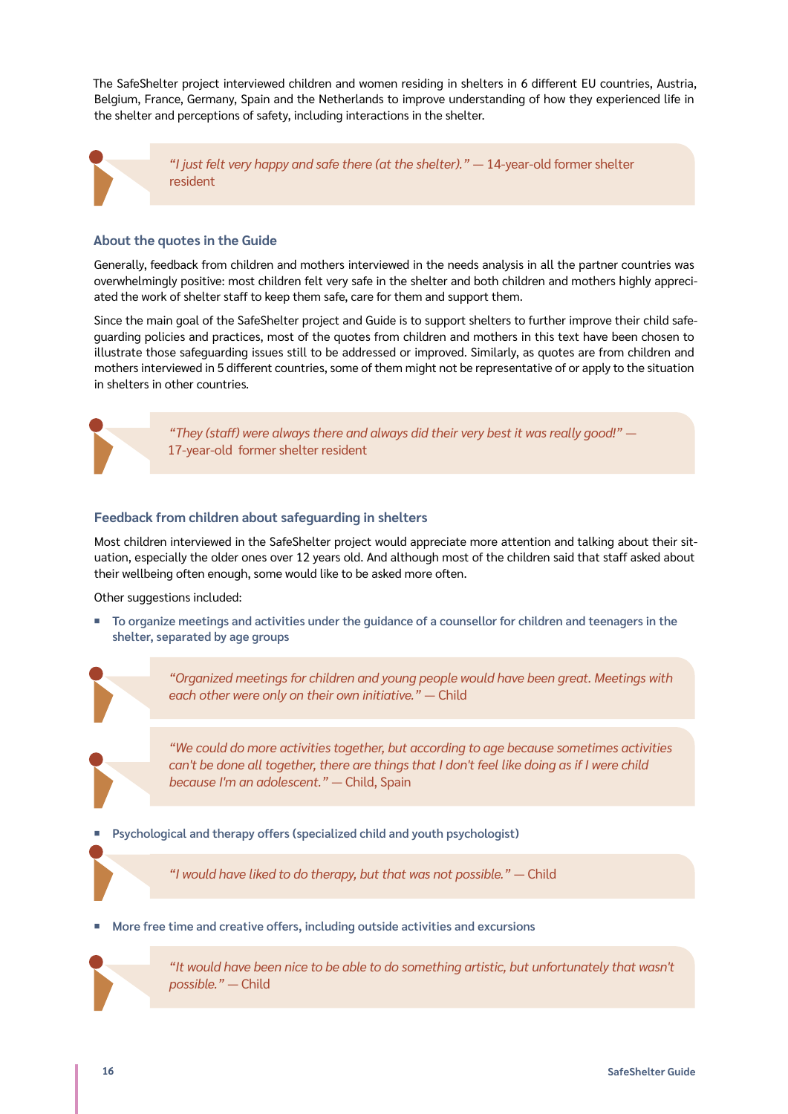The SafeShelter project interviewed children and women residing in shelters in 6 different EU countries, Austria, Belgium, France, Germany, Spain and the Netherlands to improve understanding of how they experienced life in the shelter and perceptions of safety, including interactions in the shelter.

*"I just felt very happy and safe there (at the shelter)."* — 14-year-old former shelter resident

#### **About the quotes in the Guide**

Generally, feedback from children and mothers interviewed in the needs analysis in all the partner countries was overwhelmingly positive: most children felt very safe in the shelter and both children and mothers highly appreciated the work of shelter staff to keep them safe, care for them and support them.

Since the main goal of the SafeShelter project and Guide is to support shelters to further improve their child safeguarding policies and practices, most of the quotes from children and mothers in this text have been chosen to illustrate those safeguarding issues still to be addressed or improved. Similarly, as quotes are from children and mothers interviewed in 5 different countries, some of them might not be representative of or apply to the situation in shelters in other countries.

> *"They (staff) were always there and always did their very best it was really good!"* — 17-year-old former shelter resident

#### **Feedback from children about safeguarding in shelters**

Most children interviewed in the SafeShelter project would appreciate more attention and talking about their situation, especially the older ones over 12 years old. And although most of the children said that staff asked about their wellbeing often enough, some would like to be asked more often.

Other suggestions included:

¡ **To organize meetings and activities under the guidance of a counsellor for children and teenagers in the shelter, separated by age groups**

> *"Organized meetings for children and young people would have been great. Meetings with*  each other were only on their own initiative." — Child

> *"We could do more activities together, but according to age because sometimes activities can't be done all together, there are things that I don't feel like doing as if I were child because I'm an adolescent."* — Child, Spain

**Psychological and therapy offers (specialized child and youth psychologist)** 

*"I would have liked to do therapy, but that was not possible."* — Child

¡ **More free time and creative offers, including outside activities and excursions**



*"It would have been nice to be able to do something artistic, but unfortunately that wasn't possible."* — Child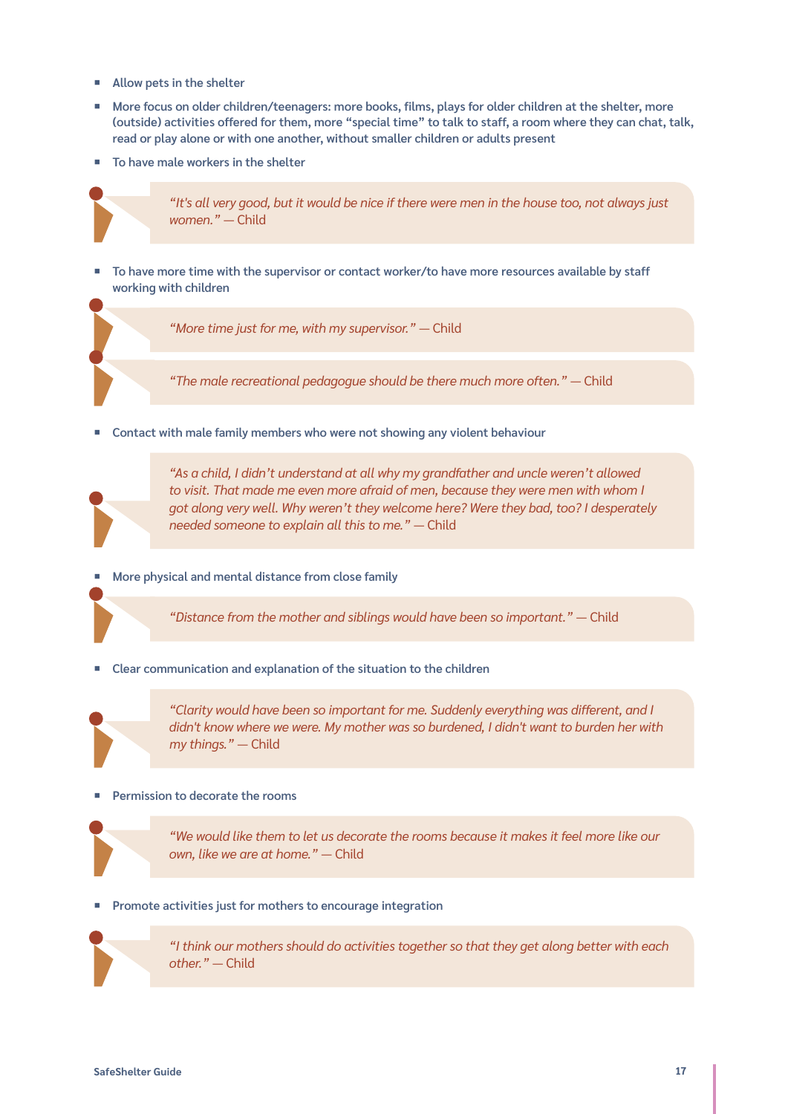- ¡ **Allow pets in the shelter**
- More focus on older children/teenagers: more books, films, plays for older children at the shelter, more **(outside) activities offered for them, more "special time" to talk to staff, a room where they can chat, talk, read or play alone or with one another, without smaller children or adults present**
- ¡ **To have male workers in the shelter**



*"It's all very good, but it would be nice if there were men in the house too, not always just women."* — Child

¡ **To have more time with the supervisor or contact worker/to have more resources available by staff working with children**

*"More time just for me, with my supervisor."* — Child

*"The male recreational pedagogue should be there much more often."* — Child

■ Contact with male family members who were not showing any violent behaviour



*"As a child, I didn't understand at all why my grandfather and uncle weren't allowed to visit. That made me even more afraid of men, because they were men with whom I got along very well. Why weren't they welcome here? Were they bad, too? I desperately needed someone to explain all this to me."* — Child

¡ **More physical and mental distance from close family**

*"Distance from the mother and siblings would have been so important."* — Child

¡ **Clear communication and explanation of the situation to the children**



*"Clarity would have been so important for me. Suddenly everything was different, and I didn't know where we were. My mother was so burdened, I didn't want to burden her with my things."* — Child

#### ¡ **Permission to decorate the rooms**

*"We would like them to let us decorate the rooms because it makes it feel more like our own, like we are at home."* — Child

¡ **Promote activities just for mothers to encourage integration**



*"I think our mothers should do activities together so that they get along better with each other."* — Child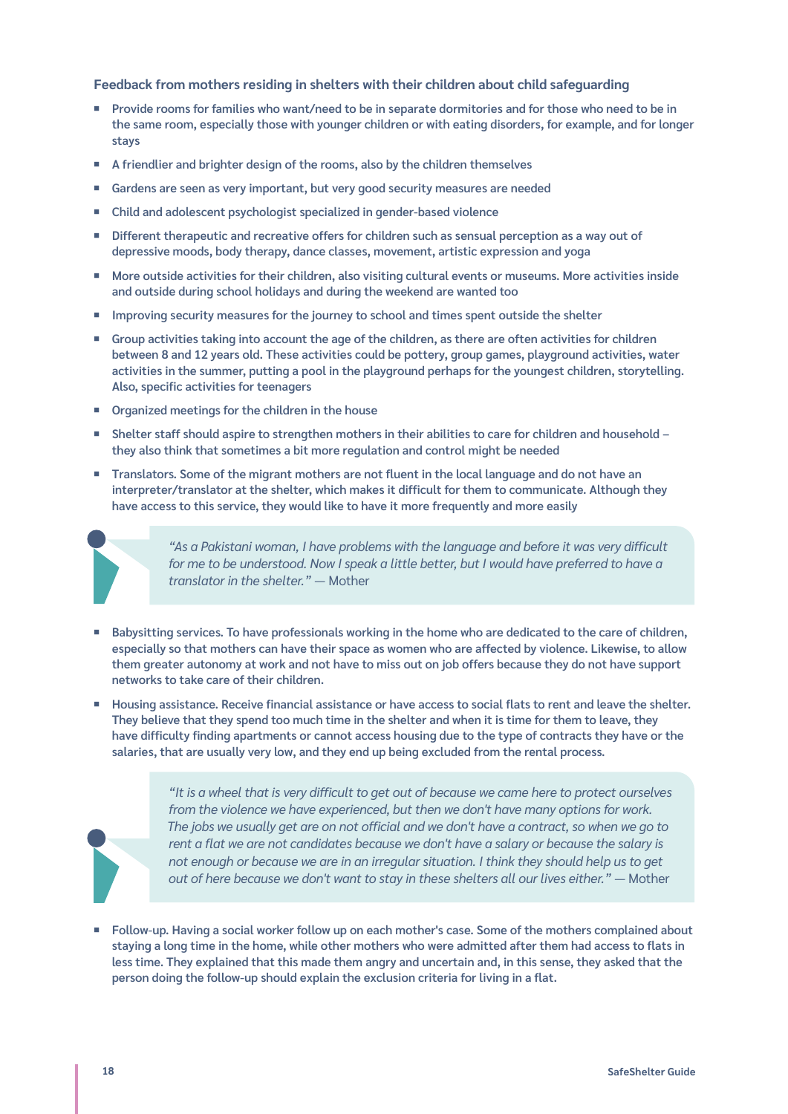#### **Feedback from mothers residing in shelters with their children about child safeguarding**

- Provide rooms for families who want/need to be in separate dormitories and for those who need to be in **the same room, especially those with younger children or with eating disorders, for example, and for longer stays**
- ¡ **A friendlier and brighter design of the rooms, also by the children themselves**
- ¡ **Gardens are seen as very important, but very good security measures are needed**
- ¡ **Child and adolescent psychologist specialized in gender-based violence**
- Different therapeutic and recreative offers for children such as sensual perception as a way out of **depressive moods, body therapy, dance classes, movement, artistic expression and yoga**
- ¡ **More outside activities for their children, also visiting cultural events or museums. More activities inside and outside during school holidays and during the weekend are wanted too**
- Improving security measures for the journey to school and times spent outside the shelter
- Group activities taking into account the age of the children, as there are often activities for children **between 8 and 12 years old. These activities could be pottery, group games, playground activities, water activities in the summer, putting a pool in the playground perhaps for the youngest children, storytelling. Also, specific activities for teenagers**
- ¡ **Organized meetings for the children in the house**
- ¡ **Shelter staff should aspire to strengthen mothers in their abilities to care for children and household they also think that sometimes a bit more regulation and control might be needed**
- ¡ **Translators. Some of the migrant mothers are not fluent in the local language and do not have an interpreter/translator at the shelter, which makes it difficult for them to communicate. Although they have access to this service, they would like to have it more frequently and more easily**



*"As a Pakistani woman, I have problems with the language and before it was very difficult for me to be understood. Now I speak a little better, but I would have preferred to have a translator in the shelter."* — Mother

- Babysitting services. To have professionals working in the home who are dedicated to the care of children, **especially so that mothers can have their space as women who are affected by violence. Likewise, to allow them greater autonomy at work and not have to miss out on job offers because they do not have support networks to take care of their children.**
- ¡ **Housing assistance. Receive financial assistance or have access to social flats to rent and leave the shelter. They believe that they spend too much time in the shelter and when it is time for them to leave, they have difficulty finding apartments or cannot access housing due to the type of contracts they have or the salaries, that are usually very low, and they end up being excluded from the rental process.**



"It is a wheel that is very difficult to get out of because we came here to protect ourselves *from the violence we have experienced, but then we don't have many options for work.*  The jobs we usually get are on not official and we don't have a contract, so when we go to *rent a flat we are not candidates because we don't have a salary or because the salary is not enough or because we are in an irregular situation. I think they should help us to get out of here because we don't want to stay in these shelters all our lives either."* — Mother

¡ **Follow-up. Having a social worker follow up on each mother's case. Some of the mothers complained about staying a long time in the home, while other mothers who were admitted after them had access to flats in less time. They explained that this made them angry and uncertain and, in this sense, they asked that the person doing the follow-up should explain the exclusion criteria for living in a flat.**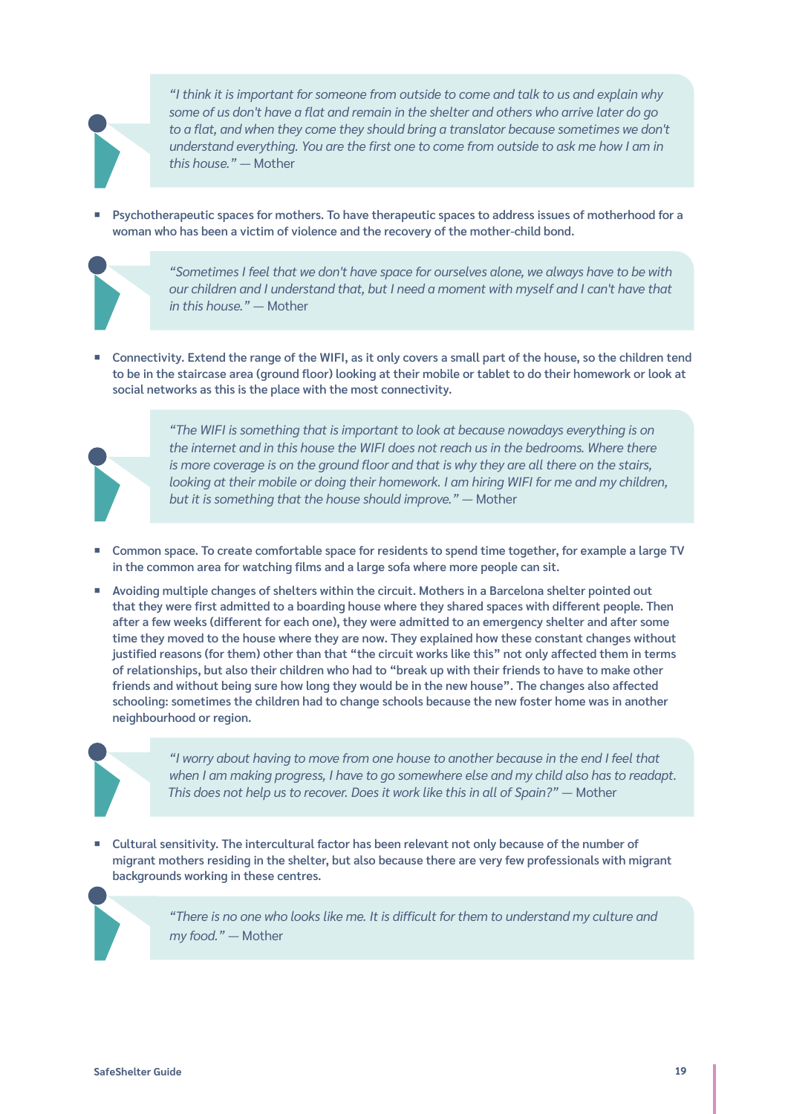

*"I think it is important for someone from outside to come and talk to us and explain why some of us don't have a flat and remain in the shelter and others who arrive later do go to a flat, and when they come they should bring a translator because sometimes we don't understand everything. You are the first one to come from outside to ask me how I am in this house."* — Mother

¡ **Psychotherapeutic spaces for mothers. To have therapeutic spaces to address issues of motherhood for a woman who has been a victim of violence and the recovery of the mother-child bond.** 



*"Sometimes I feel that we don't have space for ourselves alone, we always have to be with our children and I understand that, but I need a moment with myself and I can't have that in this house."* — Mother

¡ **Connectivity. Extend the range of the WIFI, as it only covers a small part of the house, so the children tend to be in the staircase area (ground floor) looking at their mobile or tablet to do their homework or look at social networks as this is the place with the most connectivity.** 



*"The WIFI is something that is important to look at because nowadays everything is on the internet and in this house the WIFI does not reach us in the bedrooms. Where there is more coverage is on the ground floor and that is why they are all there on the stairs, looking at their mobile or doing their homework. I am hiring WIFI for me and my children, but it is something that the house should improve."* — Mother

- ¡ **Common space. To create comfortable space for residents to spend time together, for example a large TV in the common area for watching films and a large sofa where more people can sit.**
- Avoiding multiple changes of shelters within the circuit. Mothers in a Barcelona shelter pointed out **that they were first admitted to a boarding house where they shared spaces with different people. Then after a few weeks (different for each one), they were admitted to an emergency shelter and after some time they moved to the house where they are now. They explained how these constant changes without justified reasons (for them) other than that "the circuit works like this" not only affected them in terms of relationships, but also their children who had to "break up with their friends to have to make other friends and without being sure how long they would be in the new house". The changes also affected schooling: sometimes the children had to change schools because the new foster home was in another neighbourhood or region.**



*"I worry about having to move from one house to another because in the end I feel that when I am making progress, I have to go somewhere else and my child also has to readapt. This does not help us to recover. Does it work like this in all of Spain?"* - Mother

¡ **Cultural sensitivity. The intercultural factor has been relevant not only because of the number of migrant mothers residing in the shelter, but also because there are very few professionals with migrant backgrounds working in these centres.** 

> *"There is no one who looks like me. It is difficult for them to understand my culture and my food."* — Mother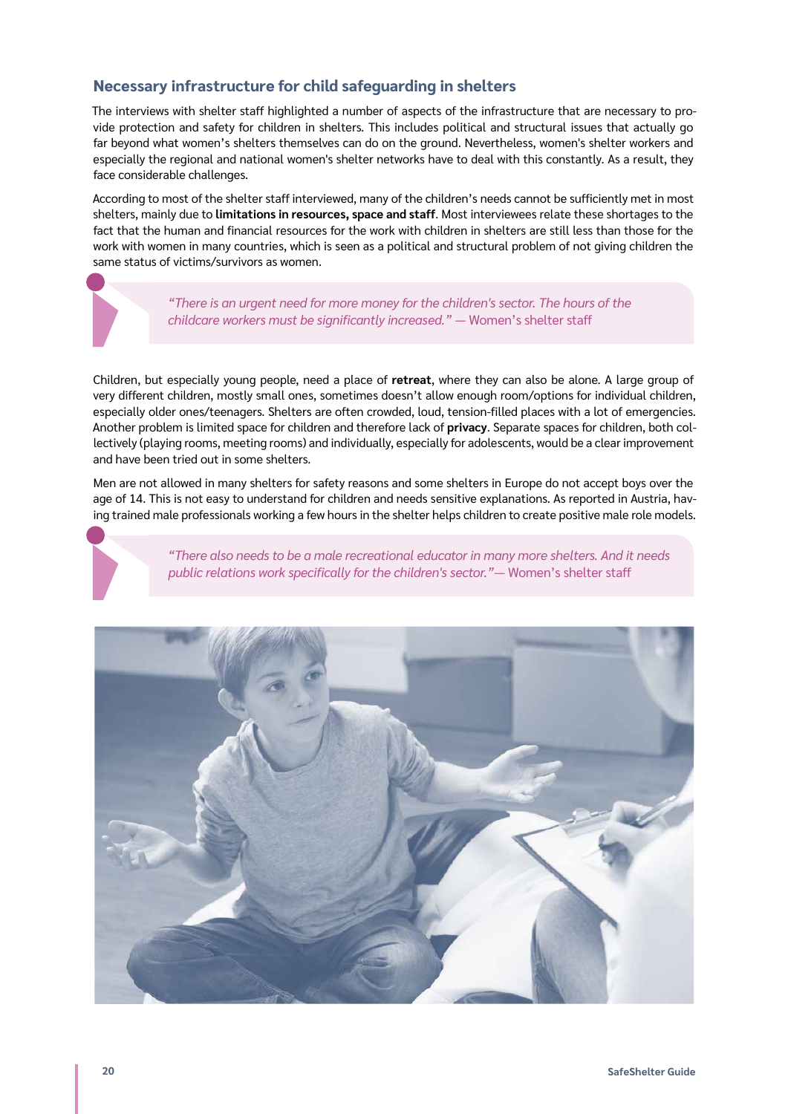# **Necessary infrastructure for child safeguarding in shelters**

The interviews with shelter staff highlighted a number of aspects of the infrastructure that are necessary to provide protection and safety for children in shelters. This includes political and structural issues that actually go far beyond what women's shelters themselves can do on the ground. Nevertheless, women's shelter workers and especially the regional and national women's shelter networks have to deal with this constantly. As a result, they face considerable challenges.

According to most of the shelter staff interviewed, many of the children's needs cannot be sufficiently met in most shelters, mainly due to **limitations in resources, space and staff**. Most interviewees relate these shortages to the fact that the human and financial resources for the work with children in shelters are still less than those for the work with women in many countries, which is seen as a political and structural problem of not giving children the same status of victims/survivors as women.

> *"There is an urgent need for more money for the children's sector. The hours of the childcare workers must be significantly increased."* — Women's shelter staff

Children, but especially young people, need a place of **retreat**, where they can also be alone. A large group of very different children, mostly small ones, sometimes doesn't allow enough room/options for individual children, especially older ones/teenagers. Shelters are often crowded, loud, tension-filled places with a lot of emergencies. Another problem is limited space for children and therefore lack of **privacy**. Separate spaces for children, both collectively (playing rooms, meeting rooms) and individually, especially for adolescents, would be a clear improvement and have been tried out in some shelters.

Men are not allowed in many shelters for safety reasons and some shelters in Europe do not accept boys over the age of 14. This is not easy to understand for children and needs sensitive explanations. As reported in Austria, having trained male professionals working a few hours in the shelter helps children to create positive male role models.

> *"There also needs to be a male recreational educator in many more shelters. And it needs public relations work specifically for the children's sector."*— Women's shelter staff

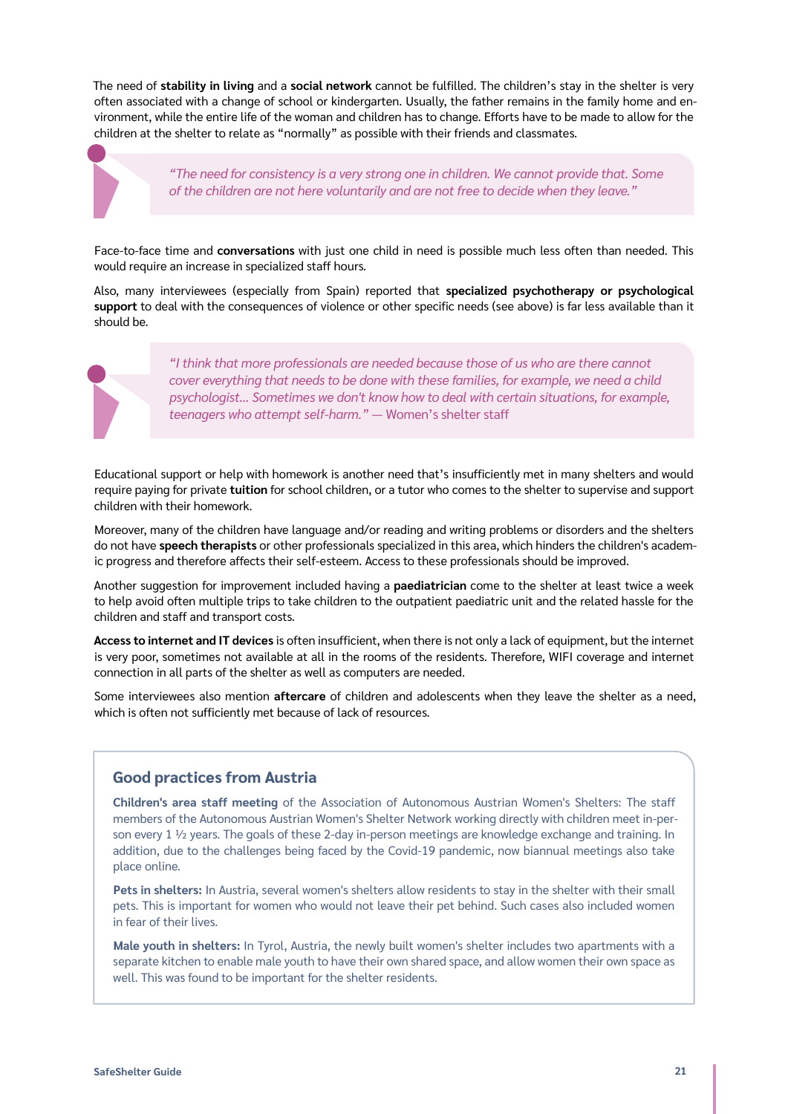The need of **stability in living** and a **social network** cannot be fulfilled. The children's stay in the shelter is very often associated with a change of school or kindergarten. Usually, the father remains in the family home and environment, while the entire life of the woman and children has to change. Efforts have to be made to allow for the children at the shelter to relate as "normally" as possible with their friends and classmates.

> *"The need for consistency is a very strong one in children. We cannot provide that. Some of the children are not here voluntarily and are not free to decide when they leave."*

Face-to-face time and **conversations** with just one child in need is possible much less often than needed. This would require an increase in specialized staff hours.

Also, many interviewees (especially from Spain) reported that **specialized psychotherapy or psychological support** to deal with the consequences of violence or other specific needs (see above) is far less available than it should be.

*"I think that more professionals are needed because those of us who are there cannot cover everything that needs to be done with these families, for example, we need a child psychologist... Sometimes we don't know how to deal with certain situations, for example, teenagers who attempt self-harm."* — Women's shelter staff

Educational support or help with homework is another need that's insufficiently met in many shelters and would require paying for private **tuition** for school children, or a tutor who comes to the shelter to supervise and support children with their homework.

Moreover, many of the children have language and/or reading and writing problems or disorders and the shelters do not have **speech therapists** or other professionals specialized in this area, which hinders the children's academic progress and therefore affects their self-esteem. Access to these professionals should be improved.

Another suggestion for improvement included having a **paediatrician** come to the shelter at least twice a week to help avoid often multiple trips to take children to the outpatient paediatric unit and the related hassle for the children and staff and transport costs.

**Access to internet and IT devices** is often insufficient, when there is not only a lack of equipment, but the internet is very poor, sometimes not available at all in the rooms of the residents. Therefore, WIFI coverage and internet connection in all parts of the shelter as well as computers are needed.

Some interviewees also mention **aftercare** of children and adolescents when they leave the shelter as a need, which is often not sufficiently met because of lack of resources.

# **Good practices from Austria**

**Children's area staff meeting** of the Association of Autonomous Austrian Women's Shelters: The staff members of the Autonomous Austrian Women's Shelter Network working directly with children meet in-person every 1  $\frac{1}{2}$  years. The goals of these 2-day in-person meetings are knowledge exchange and training. In addition, due to the challenges being faced by the Covid-19 pandemic, now biannual meetings also take place online.

**Pets in shelters:** In Austria, several women's shelters allow residents to stay in the shelter with their small pets. This is important for women who would not leave their pet behind. Such cases also included women in fear of their lives.

**Male youth in shelters:** In Tyrol, Austria, the newly built women's shelter includes two apartments with a separate kitchen to enable male youth to have their own shared space, and allow women their own space as well. This was found to be important for the shelter residents.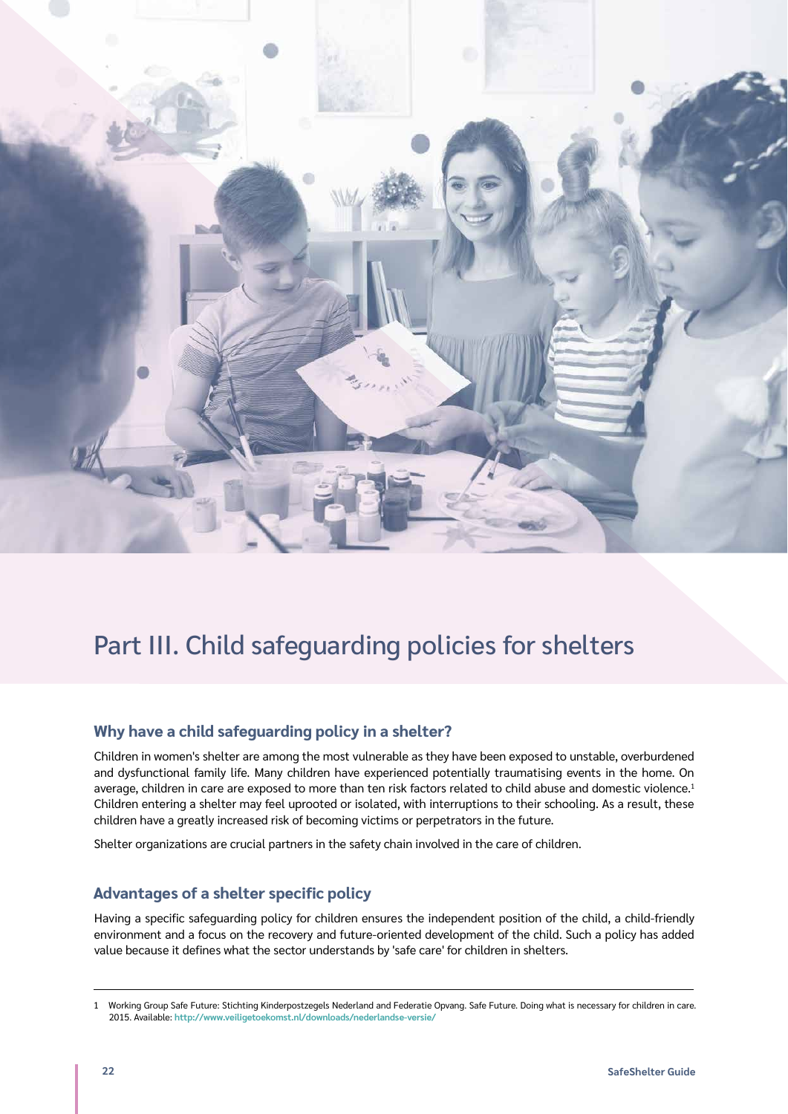<span id="page-21-0"></span>

# Part III. Child safeguarding policies for shelters

# **Why have a child safeguarding policy in a shelter?**

Children in women's shelter are among the most vulnerable as they have been exposed to unstable, overburdened and dysfunctional family life. Many children have experienced potentially traumatising events in the home. On average, children in care are exposed to more than ten risk factors related to child abuse and domestic violence.<sup>1</sup> Children entering a shelter may feel uprooted or isolated, with interruptions to their schooling. As a result, these children have a greatly increased risk of becoming victims or perpetrators in the future.

Shelter organizations are crucial partners in the safety chain involved in the care of children.

# **Advantages of a shelter specific policy**

Having a specific safeguarding policy for children ensures the independent position of the child, a child-friendly environment and a focus on the recovery and future-oriented development of the child. Such a policy has added value because it defines what the sector understands by 'safe care' for children in shelters.

<sup>1</sup> Working Group Safe Future: Stichting Kinderpostzegels Nederland and Federatie Opvang. Safe Future. Doing what is necessary for children in care. 2015. Available: **<http://www.veiligetoekomst.nl/downloads/nederlandse-versie/>**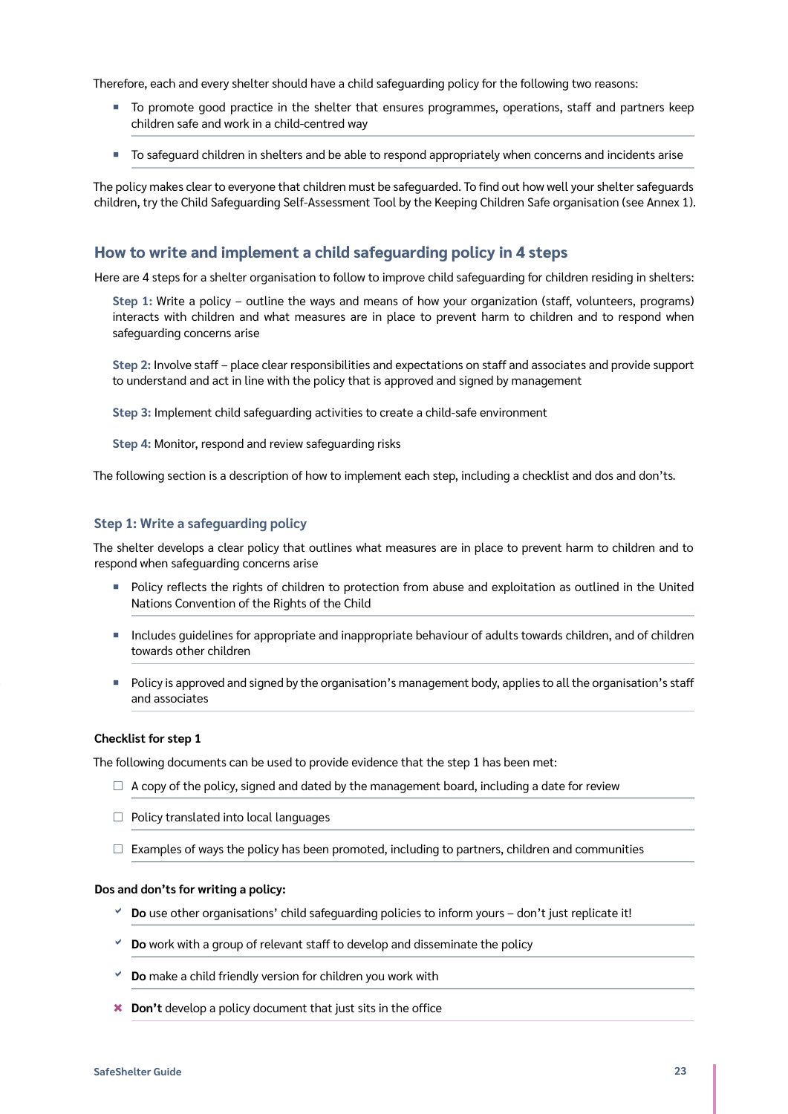<span id="page-22-0"></span>Therefore, each and every shelter should have a child safeguarding policy for the following two reasons:

- ¡ To promote good practice in the shelter that ensures programmes, operations, staff and partners keep children safe and work in a child-centred way
- ¡ To safeguard children in shelters and be able to respond appropriately when concerns and incidents arise

The policy makes clear to everyone that children must be safeguarded. To find out how well your shelter safeguards children, try the Child Safeguarding Self-Assessment Tool by the Keeping Children Safe organisation (see Annex 1).

### **How to write and implement a child safeguarding policy in 4 steps**

Here are 4 steps for a shelter organisation to follow to improve child safeguarding for children residing in shelters:

**Step 1:** Write a policy – outline the ways and means of how your organization (staff, volunteers, programs) interacts with children and what measures are in place to prevent harm to children and to respond when safeguarding concerns arise

**Step 2:** Involve staff – place clear responsibilities and expectations on staff and associates and provide support to understand and act in line with the policy that is approved and signed by management

**Step 3:** Implement child safeguarding activities to create a child-safe environment

**Step 4:** Monitor, respond and review safeguarding risks

The following section is a description of how to implement each step, including a checklist and dos and don'ts.

#### **Step 1: Write a safeguarding policy**

The shelter develops a clear policy that outlines what measures are in place to prevent harm to children and to respond when safeguarding concerns arise

- ¡ Policy reflects the rights of children to protection from abuse and exploitation as outlined in the United Nations Convention of the Rights of the Child
- ¡ Includes guidelines for appropriate and inappropriate behaviour of adults towards children, and of children towards other children
- Policy is approved and signed by the organisation's management body, applies to all the organisation's staff and associates

#### **Checklist for step 1**

The following documents can be used to provide evidence that the step 1 has been met:

- $\Box$  A copy of the policy, signed and dated by the management board, including a date for review
- $\Box$  Policy translated into local languages
- $\Box$  Examples of ways the policy has been promoted, including to partners, children and communities

#### **Dos and don'ts for writing a policy:**

- **Do** use other organisations' child safeguarding policies to inform yours don't just replicate it!
- **Do** work with a group of relevant staff to develop and disseminate the policy
- **Do** make a child friendly version for children you work with
- **\*** Don't develop a policy document that just sits in the office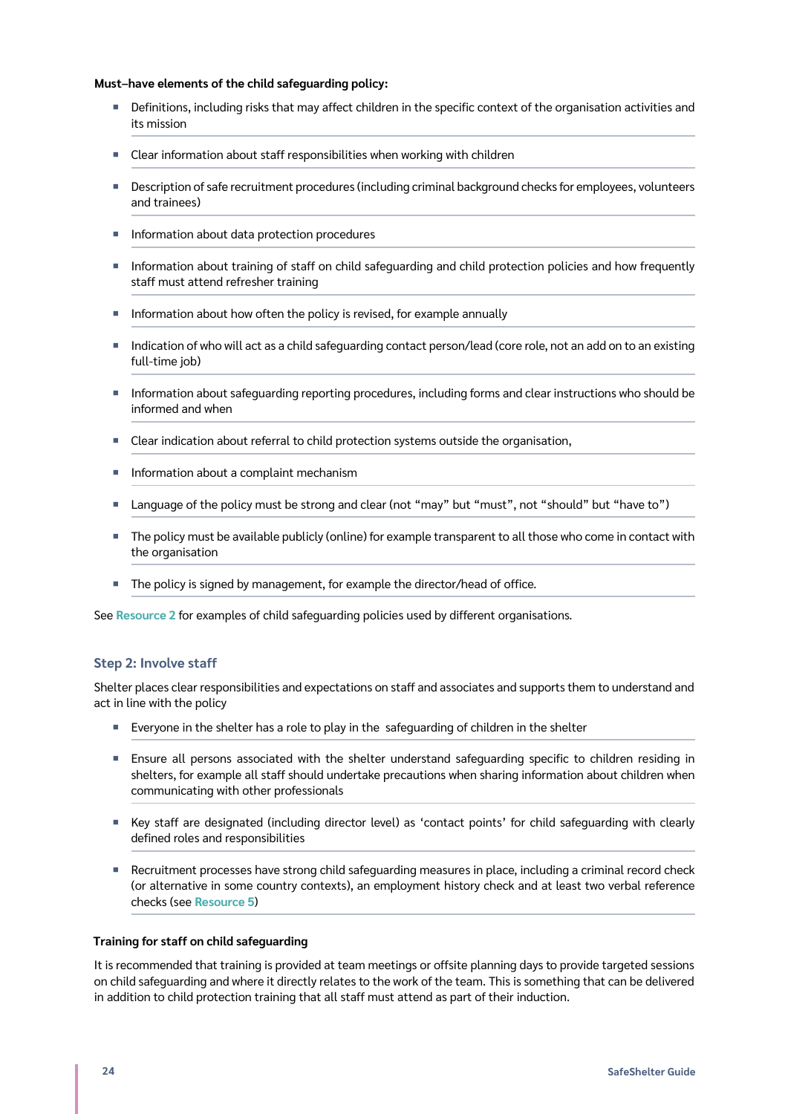#### **Must–have elements of the child safeguarding policy:**

- Definitions, including risks that may affect children in the specific context of the organisation activities and its mission
- Clear information about staff responsibilities when working with children
- **Description of safe recruitment procedures (including criminal background checks for employees, volunteers** and trainees)
- **Information about data protection procedures**
- ¡ Information about training of staff on child safeguarding and child protection policies and how frequently staff must attend refresher training
- Information about how often the policy is revised, for example annually
- Indication of who will act as a child safequarding contact person/lead (core role, not an add on to an existing full-time job)
- ¡ Information about safeguarding reporting procedures, including forms and clear instructions who should be informed and when
- Clear indication about referral to child protection systems outside the organisation,
- Information about a complaint mechanism
- Language of the policy must be strong and clear (not "may" but "must", not "should" but "have to")
- ¡ The policy must be available publicly (online) for example transparent to all those who come in contact with the organisation
- The policy is signed by management, for example the director/head of office.

See **[Resource 2](#page-29-1)** for examples of child safeguarding policies used by different organisations.

#### **Step 2: Involve staff**

Shelter places clear responsibilities and expectations on staff and associates and supports them to understand and act in line with the policy

- Everyone in the shelter has a role to play in the safeguarding of children in the shelter
- ¡ Ensure all persons associated with the shelter understand safeguarding specific to children residing in shelters, for example all staff should undertake precautions when sharing information about children when communicating with other professionals
- ¡ Key staff are designated (including director level) as 'contact points' for child safeguarding with clearly defined roles and responsibilities
- Recruitment processes have strong child safeguarding measures in place, including a criminal record check (or alternative in some country contexts), an employment history check and at least two verbal reference checks (see **[Resource 5](#page-33-1)**)

#### **Training for staff on child safeguarding**

It is recommended that training is provided at team meetings or offsite planning days to provide targeted sessions on child safeguarding and where it directly relates to the work of the team. This is something that can be delivered in addition to child protection training that all staff must attend as part of their induction.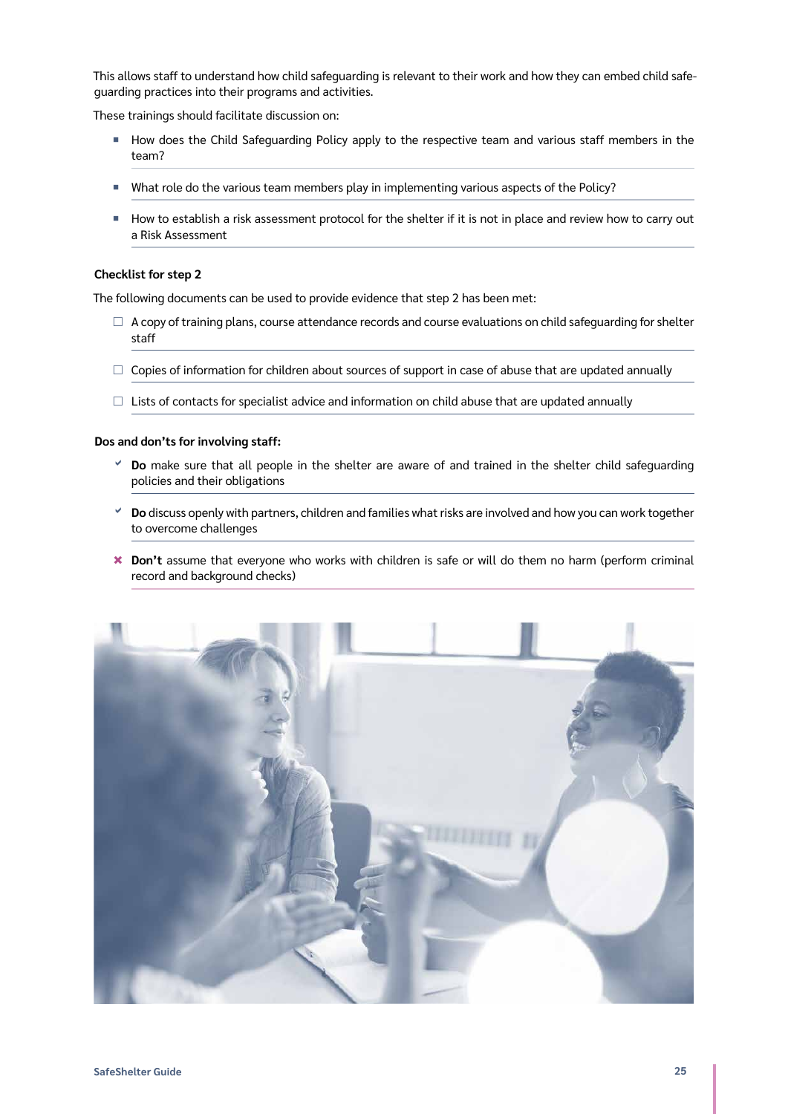This allows staff to understand how child safeguarding is relevant to their work and how they can embed child safeguarding practices into their programs and activities.

These trainings should facilitate discussion on:

- ¡ How does the Child Safeguarding Policy apply to the respective team and various staff members in the team?
- What role do the various team members play in implementing various aspects of the Policy?
- ¡ How to establish a risk assessment protocol for the shelter if it is not in place and review how to carry out a Risk Assessment

#### **Checklist for step 2**

The following documents can be used to provide evidence that step 2 has been met:

- $\Box$  A copy of training plans, course attendance records and course evaluations on child safeguarding for shelter staff
- $\Box$  Copies of information for children about sources of support in case of abuse that are updated annually
- $\Box$  Lists of contacts for specialist advice and information on child abuse that are updated annually

#### **Dos and don'ts for involving staff:**

- **Do** make sure that all people in the shelter are aware of and trained in the shelter child safeguarding policies and their obligations
- **Do** discuss openly with partners, children and families what risks are involved and how you can work together to overcome challenges
- <sup>\*</sup> Don't assume that everyone who works with children is safe or will do them no harm (perform criminal record and background checks)

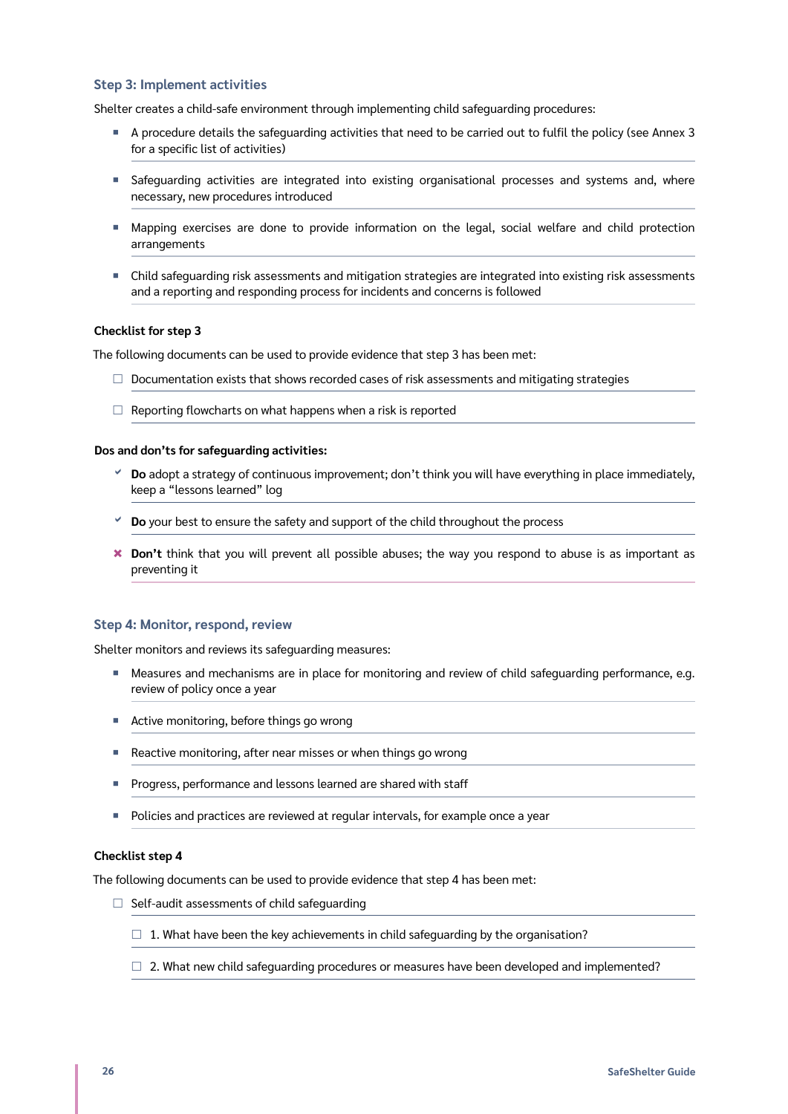#### **Step 3: Implement activities**

Shelter creates a child-safe environment through implementing child safeguarding procedures:

- ¡ A procedure details the safeguarding activities that need to be carried out to fulfil the policy (see Annex 3 for a specific list of activities)
- **•** Safeguarding activities are integrated into existing organisational processes and systems and, where necessary, new procedures introduced
- ¡ Mapping exercises are done to provide information on the legal, social welfare and child protection arrangements
- ¡ Child safeguarding risk assessments and mitigation strategies are integrated into existing risk assessments and a reporting and responding process for incidents and concerns is followed

#### **Checklist for step 3**

The following documents can be used to provide evidence that step 3 has been met:

- $\square$  Documentation exists that shows recorded cases of risk assessments and mitigating strategies
- $\Box$  Reporting flowcharts on what happens when a risk is reported

#### **Dos and don'ts for safeguarding activities:**

- **Do** adopt a strategy of continuous improvement; don't think you will have everything in place immediately, keep a "lessons learned" log
- **Do** your best to ensure the safety and support of the child throughout the process
- \* Don't think that you will prevent all possible abuses; the way you respond to abuse is as important as preventing it

#### **Step 4: Monitor, respond, review**

Shelter monitors and reviews its safeguarding measures:

- Measures and mechanisms are in place for monitoring and review of child safeguarding performance, e.g. review of policy once a year
- Active monitoring, before things go wrong
- Reactive monitoring, after near misses or when things go wrong
- **•** Progress, performance and lessons learned are shared with staff
- **Policies and practices are reviewed at regular intervals, for example once a year**

#### **Checklist step 4**

The following documents can be used to provide evidence that step 4 has been met:

- $\Box$  Self-audit assessments of child safeguarding
	- $\Box$  1. What have been the key achievements in child safeguarding by the organisation?
	- $\Box$  2. What new child safeguarding procedures or measures have been developed and implemented?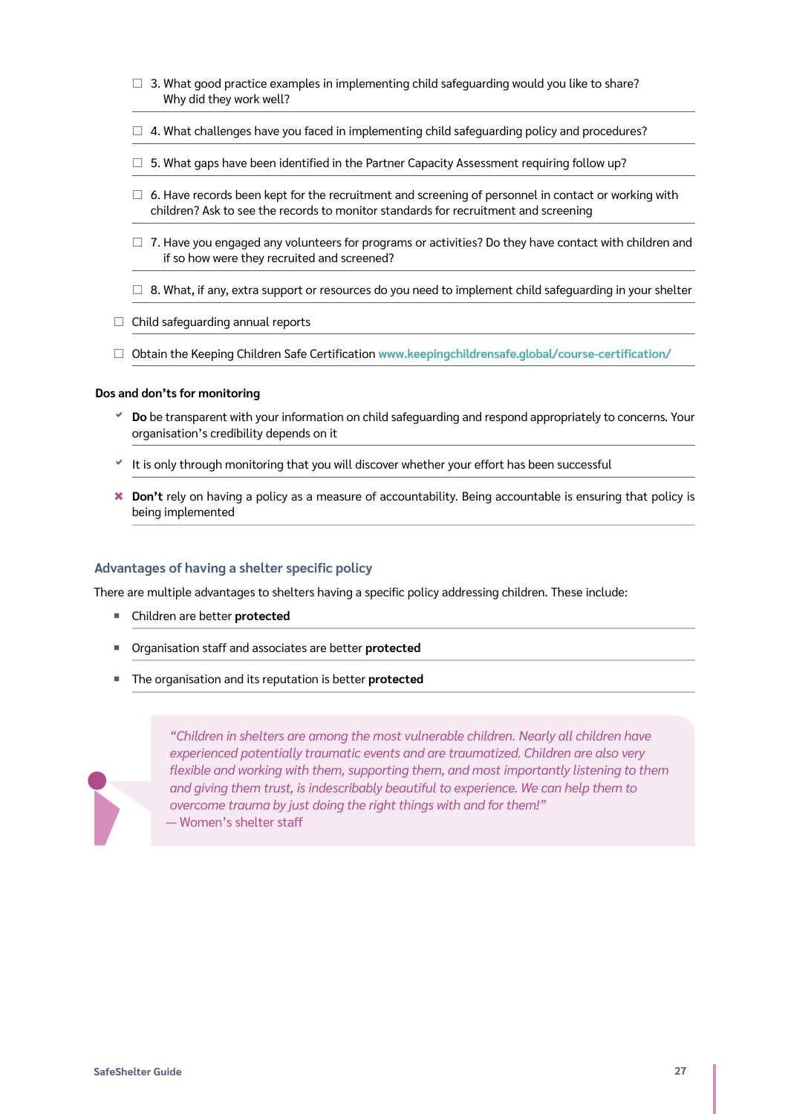- $\Box$  3. What good practice examples in implementing child safeguarding would you like to share? Why did they work well?
- $\Box$  4. What challenges have you faced in implementing child safeguarding policy and procedures?
- $\square$  5. What gaps have been identified in the Partner Capacity Assessment requiring follow up?
- $\Box$  6. Have records been kept for the recruitment and screening of personnel in contact or working with children? Ask to see the records to monitor standards for recruitment and screening
- $\Box$  7. Have you engaged any volunteers for programs or activities? Do they have contact with children and if so how were they recruited and screened?
- $\Box$  8. What, if any, extra support or resources do you need to implement child safeguarding in your shelter
- $\Box$  Child safeguarding annual reports
- £ Obtain the Keeping Children Safe Certification **[www.keepingchildrensafe.global/course-certification/](https://www.keepingchildrensafe.global/course-certification/)**

#### **Dos and don'ts for monitoring**

- **Do** be transparent with your information on child safeguarding and respond appropriately to concerns. Your organisation's credibility depends on it
- It is only through monitoring that you will discover whether your effort has been successful
- <sup>\*</sup> Don't rely on having a policy as a measure of accountability. Being accountable is ensuring that policy is being implemented

#### **Advantages of having a shelter specific policy**

There are multiple advantages to shelters having a specific policy addressing children. These include:

- ¡ Children are better **protected**
- ¡ Organisation staff and associates are better **protected**
- The organisation and its reputation is better **protected**



*"Children in shelters are among the most vulnerable children. Nearly all children have experienced potentially traumatic events and are traumatized. Children are also very flexible and working with them, supporting them, and most importantly listening to them and giving them trust, is indescribably beautiful to experience. We can help them to overcome trauma by just doing the right things with and for them!"* — Women's shelter staff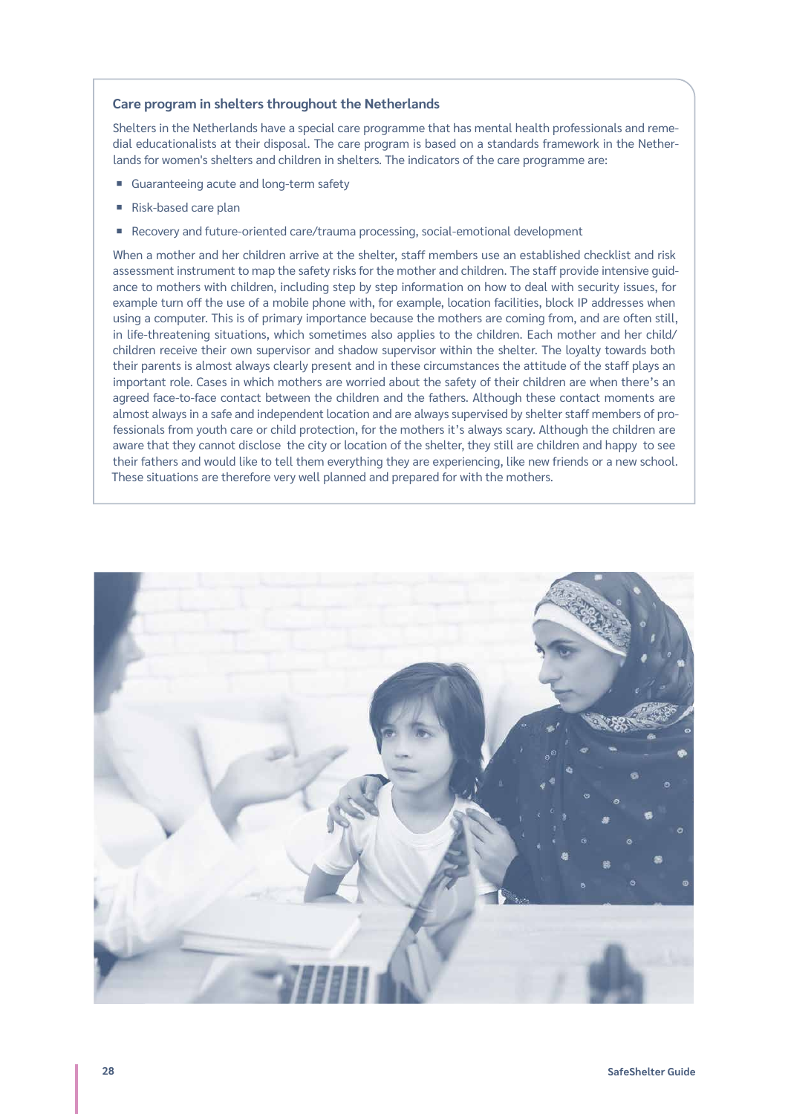#### **Care program in shelters throughout the Netherlands**

Shelters in the Netherlands have a special care programme that has mental health professionals and remedial educationalists at their disposal. The care program is based on a standards framework in the Netherlands for women's shelters and children in shelters. The indicators of the care programme are:

- Guaranteeing acute and long-term safety
- Risk-based care plan
- Recovery and future-oriented care/trauma processing, social-emotional development

When a mother and her children arrive at the shelter, staff members use an established checklist and risk assessment instrument to map the safety risks for the mother and children. The staff provide intensive guidance to mothers with children, including step by step information on how to deal with security issues, for example turn off the use of a mobile phone with, for example, location facilities, block IP addresses when using a computer. This is of primary importance because the mothers are coming from, and are often still, in life-threatening situations, which sometimes also applies to the children. Each mother and her child/ children receive their own supervisor and shadow supervisor within the shelter. The loyalty towards both their parents is almost always clearly present and in these circumstances the attitude of the staff plays an important role. Cases in which mothers are worried about the safety of their children are when there's an agreed face-to-face contact between the children and the fathers. Although these contact moments are almost always in a safe and independent location and are always supervised by shelter staff members of professionals from youth care or child protection, for the mothers it's always scary. Although the children are aware that they cannot disclose the city or location of the shelter, they still are children and happy to see their fathers and would like to tell them everything they are experiencing, like new friends or a new school. These situations are therefore very well planned and prepared for with the mothers.

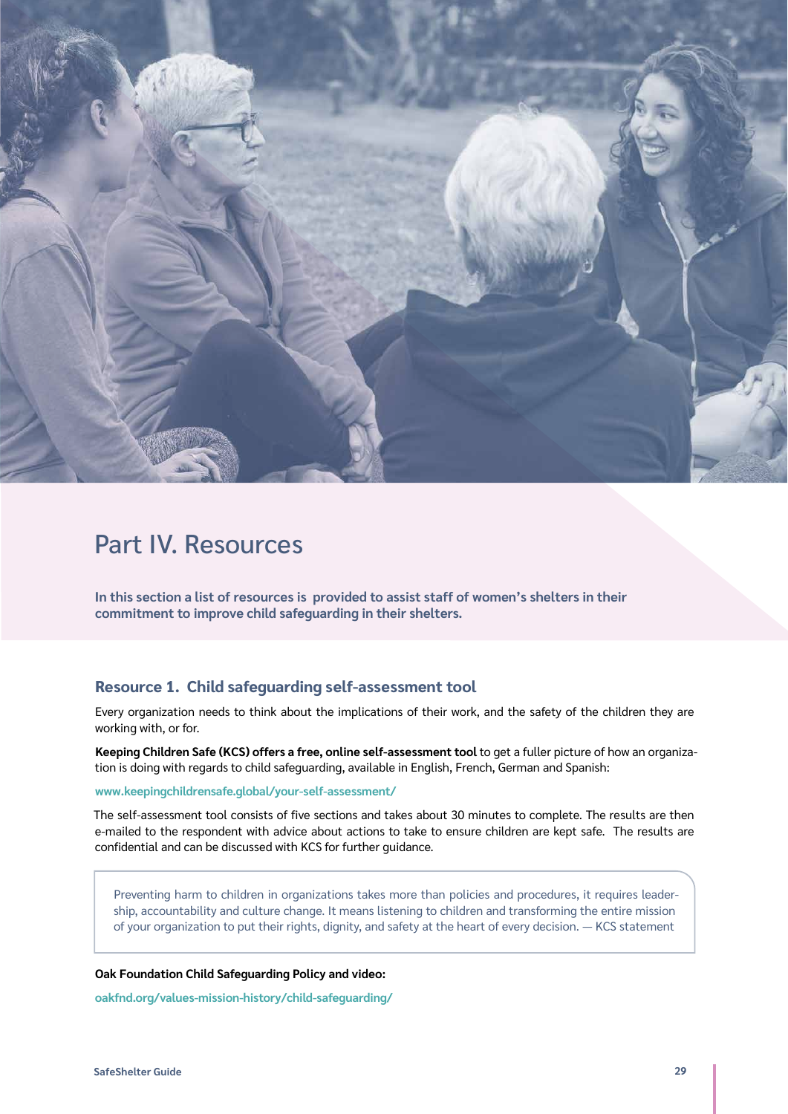<span id="page-28-0"></span>

# Part IV. Resources

**In this section a list of resources is provided to assist staff of women's shelters in their commitment to improve child safeguarding in their shelters.**

# **Resource 1. Child safeguarding self-assessment tool**

Every organization needs to think about the implications of their work, and the safety of the children they are working with, or for.

**Keeping Children Safe (KCS) offers a free, online self-assessment tool** to get a fuller picture of how an organization is doing with regards to child safeguarding, available in English, French, German and Spanish:

#### **[www.keepingchildrensafe.global/your-self-assessment/](https://www.keepingchildrensafe.global/your-self-assessment/)**

The self-assessment tool consists of five sections and takes about 30 minutes to complete. The results are then e-mailed to the respondent with advice about actions to take to ensure children are kept safe. The results are confidential and can be discussed with KCS for further guidance.

Preventing harm to children in organizations takes more than policies and procedures, it requires leadership, accountability and culture change. It means listening to children and transforming the entire mission of your organization to put their rights, dignity, and safety at the heart of every decision. — KCS statement

**Oak Foundation Child Safeguarding Policy and video:**

**[oakfnd.org/values-mission-history/child-safeguarding/](https://oakfnd.org/values-mission-history/child-safeguarding/)**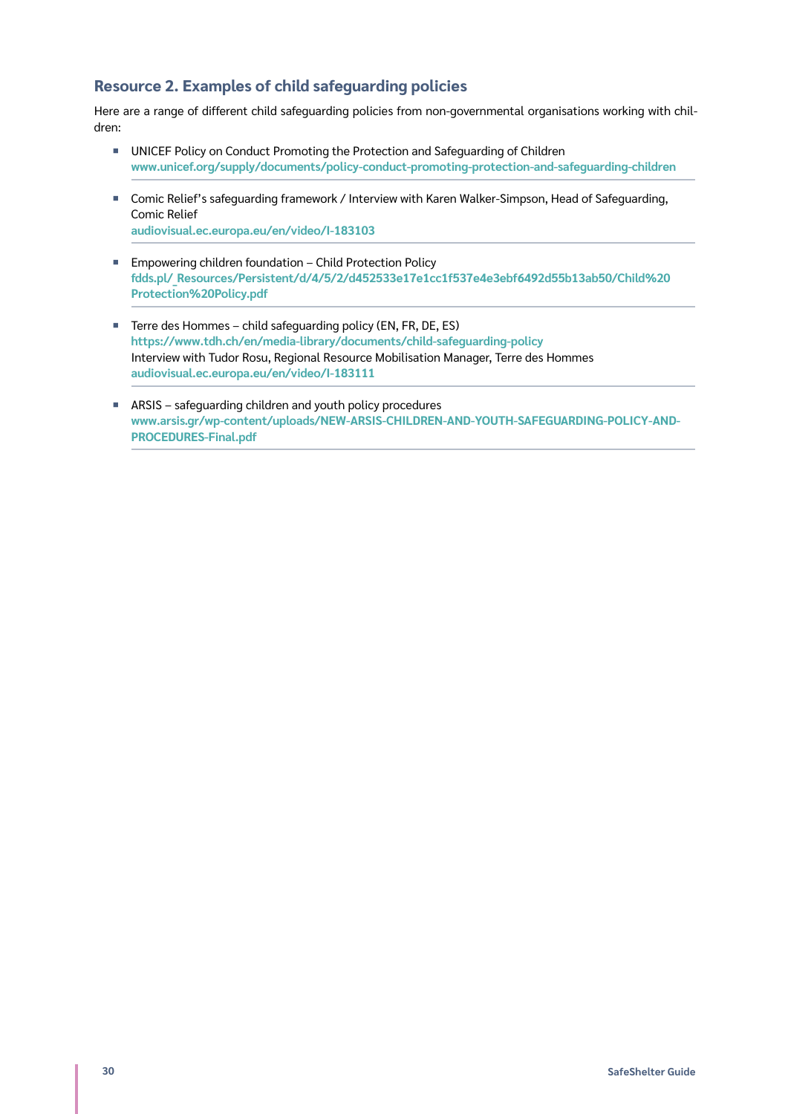# <span id="page-29-1"></span><span id="page-29-0"></span>**Resource 2. Examples of child safeguarding policies**

Here are a range of different child safeguarding policies from non-governmental organisations working with children:

- UNICEF Policy on Conduct Promoting the Protection and Safeguarding of Children **[www.unicef.org/supply/documents/policy-conduct-promoting-protection-and-safeguarding-children](https://www.unicef.org/supply/documents/policy-conduct-promoting-protection-and-safeguarding-children)**
- Comic Relief's safeguarding framework / Interview with Karen Walker-Simpson, Head of Safeguarding, Comic Relief **[audiovisual.ec.europa.eu/en/video/I-183103](https://audiovisual.ec.europa.eu/en/video/I-183103)**
- Empowering children foundation Child Protection Policy
- **[fdds.pl/\\_Resources/Persistent/d/4/5/2/d452533e17e1cc1f537e4e3ebf6492d55b13ab50/Child%20](https://fdds.pl/_Resources/Persistent/d/4/5/2/d452533e17e1cc1f537e4e3ebf6492d55b13ab50/Child%20Protection%20Policy.pdf) [Protection%20Policy.pdf](https://fdds.pl/_Resources/Persistent/d/4/5/2/d452533e17e1cc1f537e4e3ebf6492d55b13ab50/Child%20Protection%20Policy.pdf)**
- Terre des Hommes child safeguarding policy (EN, FR, DE, ES) **<https://www.tdh.ch/en/media-library/documents/child-safeguarding-policy>** Interview with Tudor Rosu, Regional Resource Mobilisation Manager, Terre des Hommes **[audiovisual.ec.europa.eu/en/video/I-183111](https://audiovisual.ec.europa.eu/en/video/I-183111)**
- ¡ ARSIS safeguarding children and youth policy procedures **[www.arsis.gr/wp-content/uploads/NEW-ARSIS-CHILDREN-AND-YOUTH-SAFEGUARDING-POLICY-AND-](http://www.arsis.gr/wp-content/uploads/NEW-ARSIS-CHILDREN-AND-YOUTH-SAFEGUARDING-POLICY-AND-PROCEDURES-Final.pdf)[PROCEDURES-Final.pdf](http://www.arsis.gr/wp-content/uploads/NEW-ARSIS-CHILDREN-AND-YOUTH-SAFEGUARDING-POLICY-AND-PROCEDURES-Final.pdf)**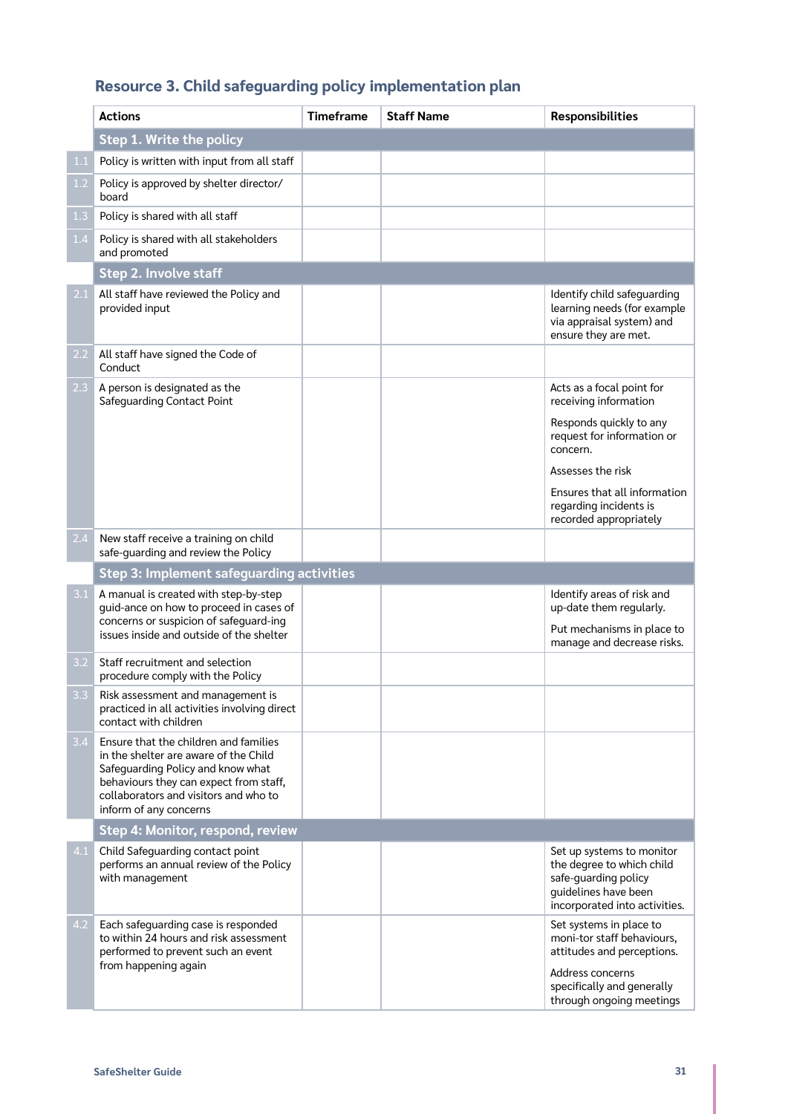# <span id="page-30-1"></span><span id="page-30-0"></span>**Resource 3. Child safeguarding policy implementation plan**

|                  | <b>Actions</b>                                                                                                                                                                                                                   | <b>Timeframe</b> | <b>Staff Name</b> | <b>Responsibilities</b>                                                                                                                                           |  |
|------------------|----------------------------------------------------------------------------------------------------------------------------------------------------------------------------------------------------------------------------------|------------------|-------------------|-------------------------------------------------------------------------------------------------------------------------------------------------------------------|--|
|                  | Step 1. Write the policy                                                                                                                                                                                                         |                  |                   |                                                                                                                                                                   |  |
| 1.1              | Policy is written with input from all staff                                                                                                                                                                                      |                  |                   |                                                                                                                                                                   |  |
| 1.2              | Policy is approved by shelter director/<br>board                                                                                                                                                                                 |                  |                   |                                                                                                                                                                   |  |
| 1.3              | Policy is shared with all staff                                                                                                                                                                                                  |                  |                   |                                                                                                                                                                   |  |
| 1.4              | Policy is shared with all stakeholders<br>and promoted                                                                                                                                                                           |                  |                   |                                                                                                                                                                   |  |
|                  | Step 2. Involve staff                                                                                                                                                                                                            |                  |                   |                                                                                                                                                                   |  |
| 2.1              | All staff have reviewed the Policy and<br>provided input                                                                                                                                                                         |                  |                   | Identify child safeguarding<br>learning needs (for example<br>via appraisal system) and<br>ensure they are met.                                                   |  |
| $2.2\,$          | All staff have signed the Code of<br>Conduct                                                                                                                                                                                     |                  |                   |                                                                                                                                                                   |  |
| 2.3              | A person is designated as the<br><b>Safeguarding Contact Point</b>                                                                                                                                                               |                  |                   | Acts as a focal point for<br>receiving information<br>Responds quickly to any<br>request for information or                                                       |  |
|                  |                                                                                                                                                                                                                                  |                  |                   | concern.                                                                                                                                                          |  |
|                  |                                                                                                                                                                                                                                  |                  |                   | Assesses the risk                                                                                                                                                 |  |
|                  |                                                                                                                                                                                                                                  |                  |                   | Ensures that all information<br>regarding incidents is<br>recorded appropriately                                                                                  |  |
| 2.4              | New staff receive a training on child<br>safe-quarding and review the Policy                                                                                                                                                     |                  |                   |                                                                                                                                                                   |  |
|                  | Step 3: Implement safeguarding activities                                                                                                                                                                                        |                  |                   |                                                                                                                                                                   |  |
| 3.1              | A manual is created with step-by-step<br>guid-ance on how to proceed in cases of<br>concerns or suspicion of safeguard-ing                                                                                                       |                  |                   | Identify areas of risk and<br>up-date them regularly.                                                                                                             |  |
|                  | issues inside and outside of the shelter                                                                                                                                                                                         |                  |                   | Put mechanisms in place to<br>manage and decrease risks.                                                                                                          |  |
| 3.2              | Staff recruitment and selection<br>procedure comply with the Policy                                                                                                                                                              |                  |                   |                                                                                                                                                                   |  |
| 3.3 <sub>1</sub> | Risk assessment and management is<br>practiced in all activities involving direct<br>contact with children                                                                                                                       |                  |                   |                                                                                                                                                                   |  |
| 3.4              | Ensure that the children and families<br>in the shelter are aware of the Child<br>Safeguarding Policy and know what<br>behaviours they can expect from staff,<br>collaborators and visitors and who to<br>inform of any concerns |                  |                   |                                                                                                                                                                   |  |
|                  | Step 4: Monitor, respond, review                                                                                                                                                                                                 |                  |                   |                                                                                                                                                                   |  |
| 4.1              | Child Safeguarding contact point<br>performs an annual review of the Policy<br>with management                                                                                                                                   |                  |                   | Set up systems to monitor<br>the degree to which child<br>safe-guarding policy<br>guidelines have been<br>incorporated into activities.                           |  |
| 4.2              | Each safeguarding case is responded<br>to within 24 hours and risk assessment<br>performed to prevent such an event<br>from happening again                                                                                      |                  |                   | Set systems in place to<br>moni-tor staff behaviours,<br>attitudes and perceptions.<br>Address concerns<br>specifically and generally<br>through ongoing meetings |  |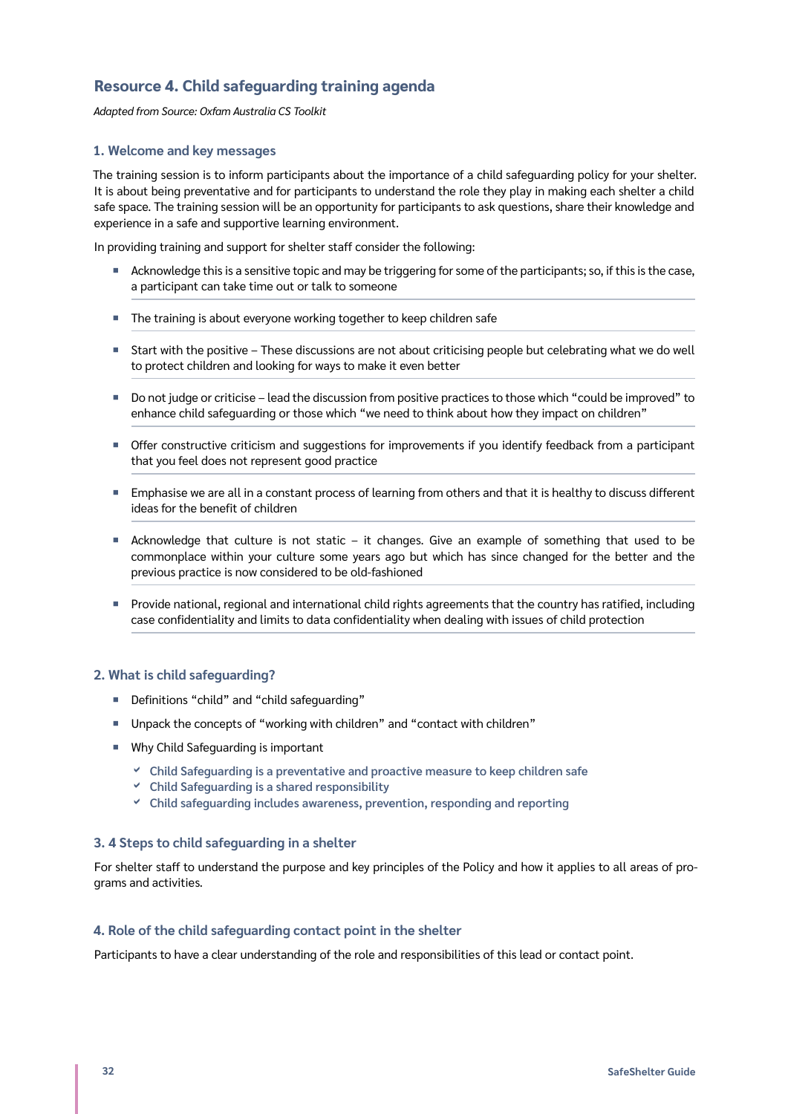# <span id="page-31-0"></span>**Resource 4. Child safeguarding training agenda**

*Adapted from Source: Oxfam Australia CS Toolkit*

#### **1. Welcome and key messages**

The training session is to inform participants about the importance of a child safeguarding policy for your shelter. It is about being preventative and for participants to understand the role they play in making each shelter a child safe space. The training session will be an opportunity for participants to ask questions, share their knowledge and experience in a safe and supportive learning environment.

In providing training and support for shelter staff consider the following:

- ¡ Acknowledge this is a sensitive topic and may be triggering for some of the participants; so, if this is the case, a participant can take time out or talk to someone
- The training is about everyone working together to keep children safe
- Start with the positive These discussions are not about criticising people but celebrating what we do well to protect children and looking for ways to make it even better
- ¡ Do not judge or criticise lead the discussion from positive practices to those which "could be improved" to enhance child safeguarding or those which "we need to think about how they impact on children"
- ¡ Offer constructive criticism and suggestions for improvements if you identify feedback from a participant that you feel does not represent good practice
- Emphasise we are all in a constant process of learning from others and that it is healthy to discuss different ideas for the benefit of children
- Acknowledge that culture is not static it changes. Give an example of something that used to be commonplace within your culture some years ago but which has since changed for the better and the previous practice is now considered to be old-fashioned
- ¡ Provide national, regional and international child rights agreements that the country has ratified, including case confidentiality and limits to data confidentiality when dealing with issues of child protection

#### **2. What is child safeguarding?**

- ¡ Definitions "child" and "child safeguarding"
- ¡ Unpack the concepts of "working with children" and "contact with children"
- Why Child Safeguarding is important
	- **Child Safeguarding is a preventative and proactive measure to keep children safe**
	- **Child Safeguarding is a shared responsibility**
	- **Child safeguarding includes awareness, prevention, responding and reporting**

#### **3. 4 Steps to child safeguarding in a shelter**

For shelter staff to understand the purpose and key principles of the Policy and how it applies to all areas of programs and activities.

#### **4. Role of the child safeguarding contact point in the shelter**

Participants to have a clear understanding of the role and responsibilities of this lead or contact point.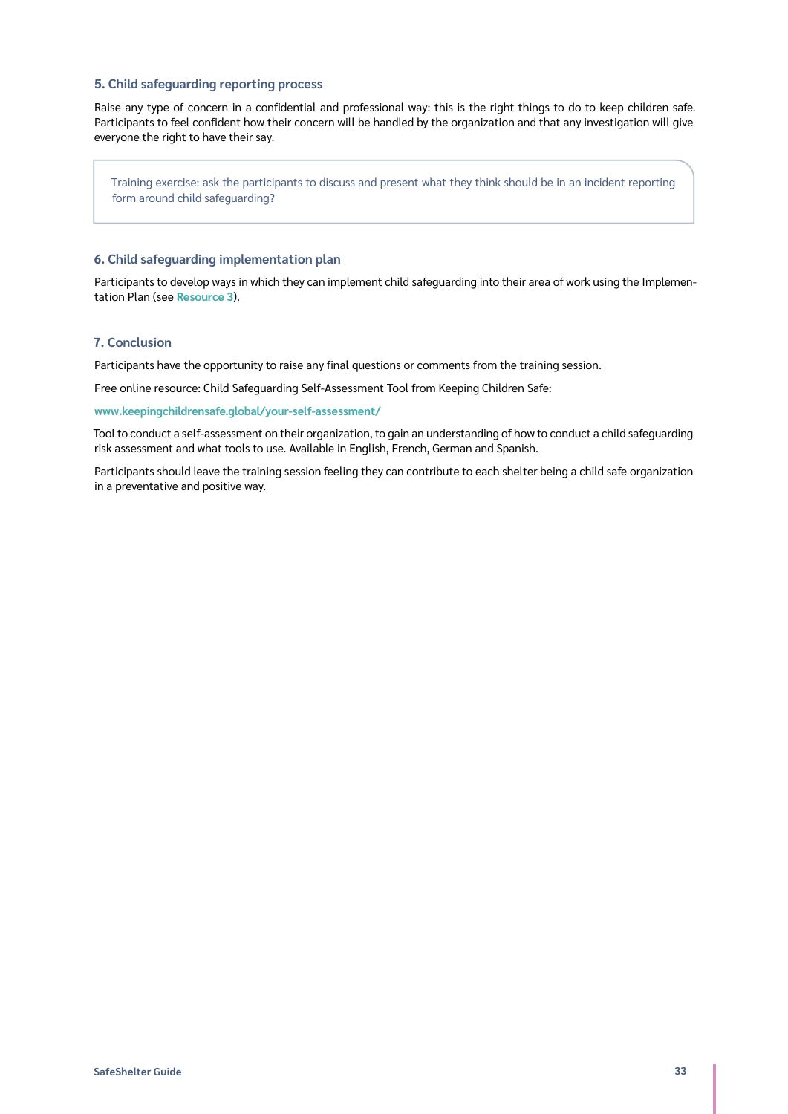#### **5. Child safeguarding reporting process**

Raise any type of concern in a confidential and professional way: this is the right things to do to keep children safe. Participants to feel confident how their concern will be handled by the organization and that any investigation will give everyone the right to have their say.

Training exercise: ask the participants to discuss and present what they think should be in an incident reporting form around child safeguarding?

#### **6. Child safeguarding implementation plan**

Participants to develop ways in which they can implement child safeguarding into their area of work using the Implementation Plan (see **[Resource 3](#page-30-1)**).

#### **7. Conclusion**

Participants have the opportunity to raise any final questions or comments from the training session.

Free online resource: Child Safeguarding Self-Assessment Tool from Keeping Children Safe:

#### **[www.keepingchildrensafe.global/your-self-assessment/](https://www.keepingchildrensafe.global/your-self-assessment/)**

Tool to conduct a self-assessment on their organization, to gain an understanding of how to conduct a child safeguarding risk assessment and what tools to use. Available in English, French, German and Spanish.

Participants should leave the training session feeling they can contribute to each shelter being a child safe organization in a preventative and positive way.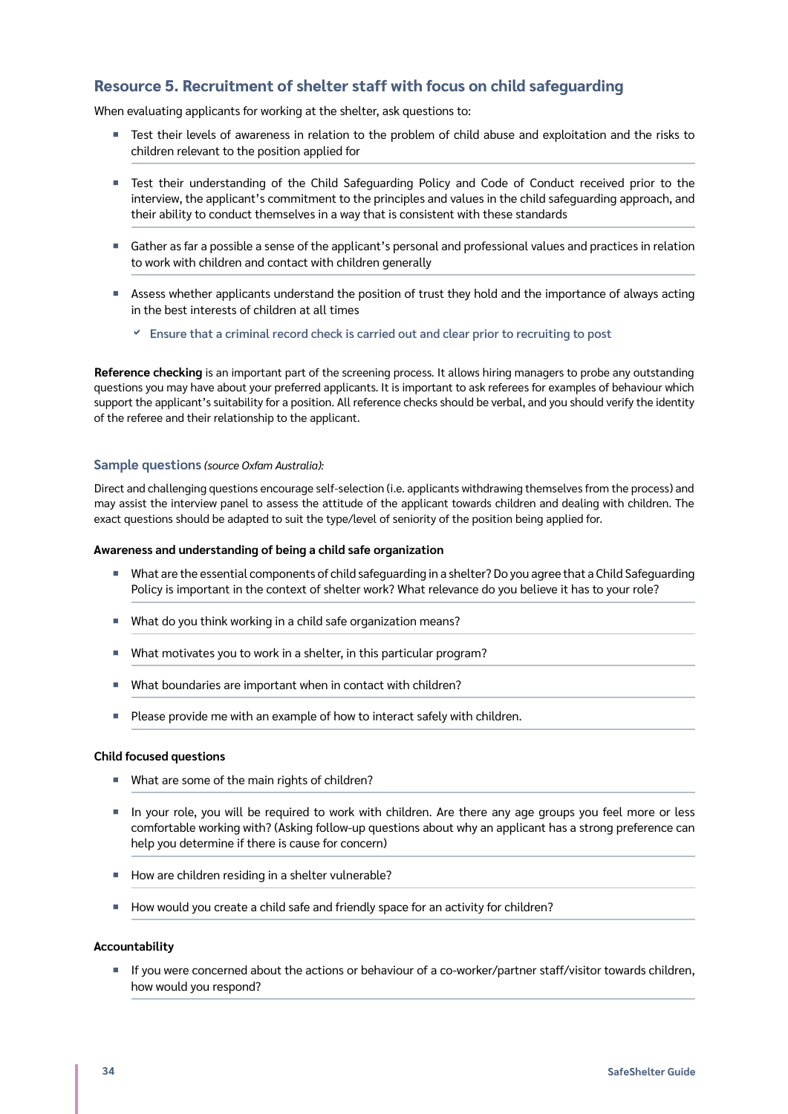# <span id="page-33-1"></span><span id="page-33-0"></span>**Resource 5. Recruitment of shelter staff with focus on child safeguarding**

When evaluating applicants for working at the shelter, ask questions to:

- Test their levels of awareness in relation to the problem of child abuse and exploitation and the risks to children relevant to the position applied for
- Test their understanding of the Child Safeguarding Policy and Code of Conduct received prior to the interview, the applicant's commitment to the principles and values in the child safeguarding approach, and their ability to conduct themselves in a way that is consistent with these standards
- ¡ Gather as far a possible a sense of the applicant's personal and professional values and practices in relation to work with children and contact with children generally
- ¡ Assess whether applicants understand the position of trust they hold and the importance of always acting in the best interests of children at all times
	- **Ensure that a criminal record check is carried out and clear prior to recruiting to post**

**Reference checking** is an important part of the screening process. It allows hiring managers to probe any outstanding questions you may have about your preferred applicants. It is important to ask referees for examples of behaviour which support the applicant's suitability for a position. All reference checks should be verbal, and you should verify the identity of the referee and their relationship to the applicant.

#### **Sample questions** *(source Oxfam Australia):*

Direct and challenging questions encourage self-selection (i.e. applicants withdrawing themselves from the process) and may assist the interview panel to assess the attitude of the applicant towards children and dealing with children. The exact questions should be adapted to suit the type/level of seniority of the position being applied for.

#### **Awareness and understanding of being a child safe organization**

- What are the essential components of child safequarding in a shelter? Do you agree that a Child Safequarding Policy is important in the context of shelter work? What relevance do you believe it has to your role?
- ¡ What do you think working in a child safe organization means?
- What motivates you to work in a shelter, in this particular program?
- ¡ What boundaries are important when in contact with children?
- Please provide me with an example of how to interact safely with children.

#### **Child focused questions**

- What are some of the main rights of children?
- ¡ In your role, you will be required to work with children. Are there any age groups you feel more or less comfortable working with? (Asking follow-up questions about why an applicant has a strong preference can help you determine if there is cause for concern)
- How are children residing in a shelter vulnerable?
- How would you create a child safe and friendly space for an activity for children?

#### **Accountability**

¡ If you were concerned about the actions or behaviour of a co-worker/partner staff/visitor towards children, how would you respond?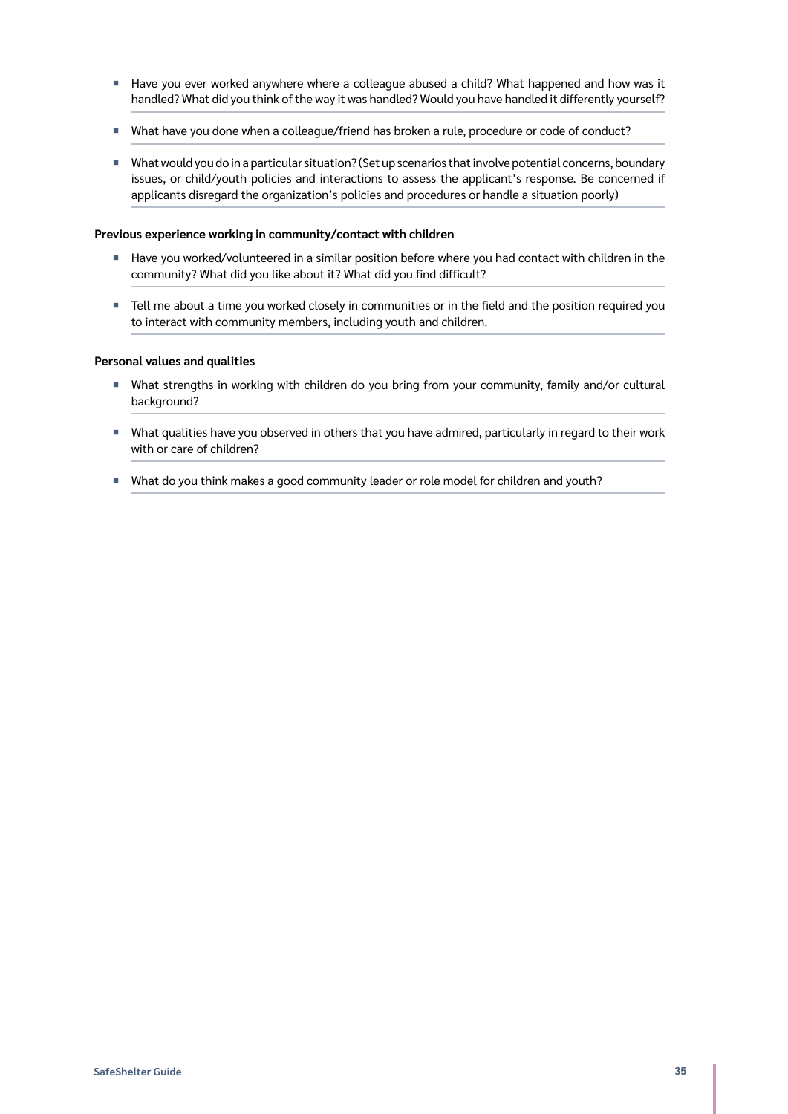- Have you ever worked anywhere where a colleague abused a child? What happened and how was it handled? What did you think of the way it was handled? Would you have handled it differently yourself?
- ¡ What have you done when a colleague/friend has broken a rule, procedure or code of conduct?
- What would you do in a particular situation? (Set up scenarios that involve potential concerns, boundary issues, or child/youth policies and interactions to assess the applicant's response. Be concerned if applicants disregard the organization's policies and procedures or handle a situation poorly)

#### **Previous experience working in community/contact with children**

- Have you worked/volunteered in a similar position before where you had contact with children in the community? What did you like about it? What did you find difficult?
- Tell me about a time you worked closely in communities or in the field and the position required you to interact with community members, including youth and children.

#### **Personal values and qualities**

- ¡ What strengths in working with children do you bring from your community, family and/or cultural background?
- ¡ What qualities have you observed in others that you have admired, particularly in regard to their work with or care of children?
- What do you think makes a good community leader or role model for children and youth?